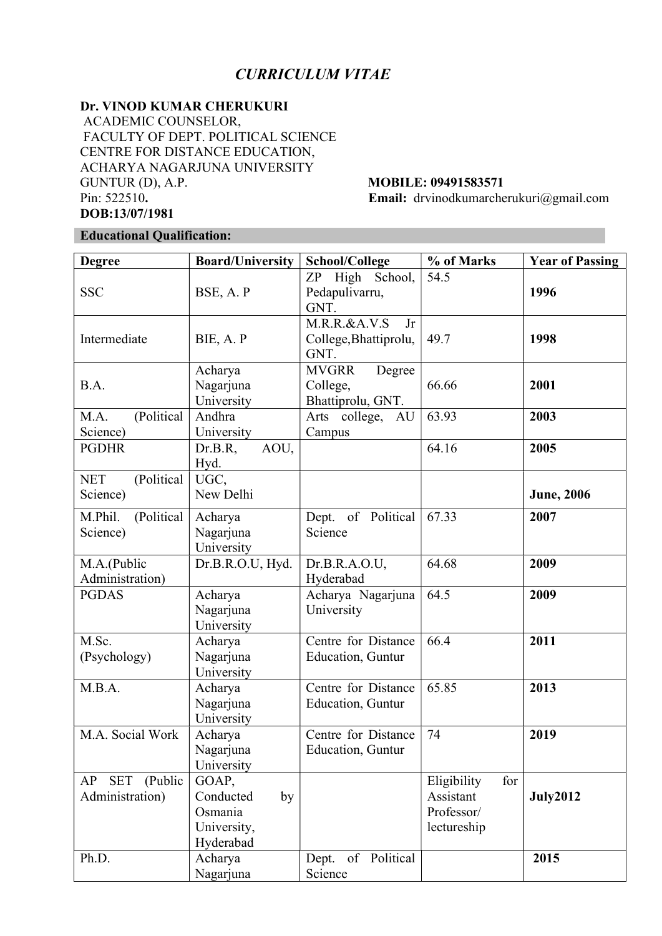# CURRICULUM VITAE

# Dr. VINOD KUMAR CHERUKURI

 ACADEMIC COUNSELOR, FACULTY OF DEPT. POLITICAL SCIENCE CENTRE FOR DISTANCE EDUCATION, ACHARYA NAGARJUNA UNIVERSITY GUNTUR (D), A.P. **MOBILE: 09491583571** Pin: 522510. Email: drvinodkumarcherukuri@gmail.com DOB:13/07/1981

# Educational Qualification:

| <b>Degree</b>                                  | <b>Board/University</b>                                         | School/College                                          | % of Marks                                                   | <b>Year of Passing</b> |
|------------------------------------------------|-----------------------------------------------------------------|---------------------------------------------------------|--------------------------------------------------------------|------------------------|
| <b>SSC</b>                                     | BSE, A.P                                                        | ZP High School,<br>Pedapulivarru,<br>GNT.               | 54.5                                                         | 1996                   |
| Intermediate                                   | BIE, A. P                                                       | $M.R.R.\&A.V.S$<br>Jr<br>College, Bhattiprolu,<br>GNT.  | 49.7                                                         | 1998                   |
| B.A.                                           | Acharya<br>Nagarjuna<br>University                              | <b>MVGRR</b><br>Degree<br>College,<br>Bhattiprolu, GNT. | 66.66                                                        | 2001                   |
| (Political<br>M.A.<br>Science)                 | Andhra<br>University                                            | Arts college, AU<br>Campus                              | 63.93                                                        | 2003                   |
| <b>PGDHR</b>                                   | Dr.B.R,<br>AOU,<br>Hyd.                                         |                                                         | 64.16                                                        | 2005                   |
| (Political<br><b>NET</b><br>Science)           | UGC,<br>New Delhi                                               |                                                         |                                                              | <b>June</b> , 2006     |
| M.Phil.<br>(Political<br>Science)              | Acharya<br>Nagarjuna<br>University                              | Dept. of Political<br>Science                           | 67.33                                                        | 2007                   |
| M.A.(Public<br>Administration)                 | Dr.B.R.O.U, Hyd.                                                | Dr.B.R.A.O.U,<br>Hyderabad                              | 64.68                                                        | 2009                   |
| <b>PGDAS</b>                                   | Acharya<br>Nagarjuna<br>University                              | Acharya Nagarjuna<br>University                         | 64.5                                                         | 2009                   |
| M.Sc.<br>(Psychology)                          | Acharya<br>Nagarjuna<br>University                              | Centre for Distance<br>Education, Guntur                | 66.4                                                         | 2011                   |
| M.B.A.                                         | Acharya<br>Nagarjuna<br>University                              | Centre for Distance<br>Education, Guntur                | 65.85                                                        | 2013                   |
| M.A. Social Work                               | Acharya<br>Nagarjuna<br>University                              | Centre for Distance<br>Education, Guntur                | 74                                                           | 2019                   |
| (Public<br>AP<br><b>SET</b><br>Administration) | GOAP,<br>Conducted<br>by<br>Osmania<br>University,<br>Hyderabad |                                                         | Eligibility<br>for<br>Assistant<br>Professor/<br>lectureship | <b>July2012</b>        |
| Ph.D.                                          | Acharya<br>Nagarjuna                                            | of Political<br>Dept.<br>Science                        |                                                              | 2015                   |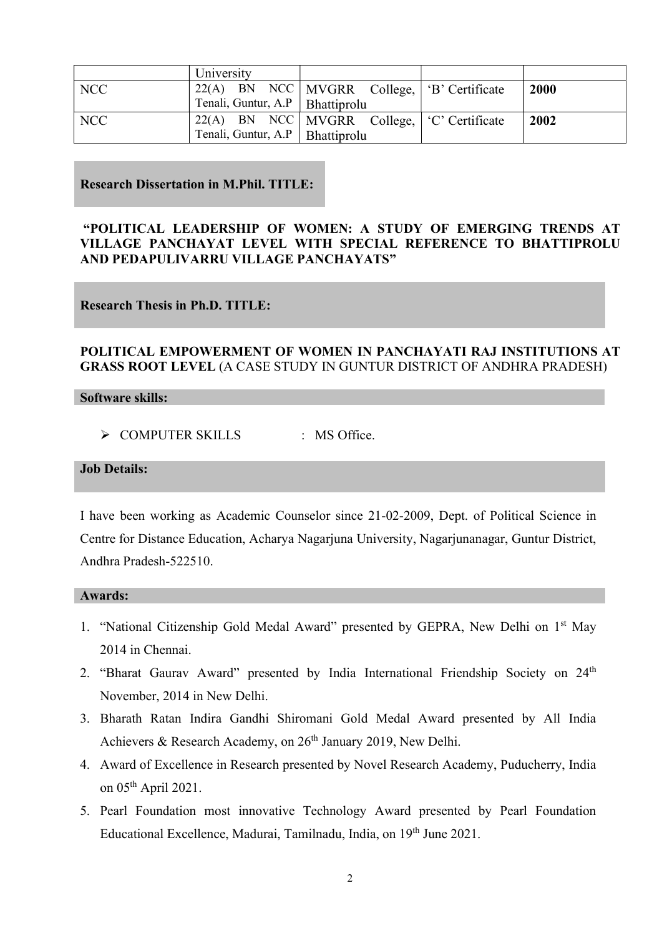|            | University                               |                                                    |             |
|------------|------------------------------------------|----------------------------------------------------|-------------|
| <b>NCC</b> |                                          | $122(A)$ BN NCC   MVGRR College,   'B' Certificate | <b>2000</b> |
|            | $\top$ Tenali, Guntur, A.P   Bhattiprolu |                                                    |             |
| <b>NCC</b> |                                          | $22(A)$ BN NCC   MVGRR College,   'C' Certificate  | 2002        |
|            | Tenali, Guntur, A.P   Bhattiprolu        |                                                    |             |

## Research Dissertation in M.Phil. TITLE:

# "POLITICAL LEADERSHIP OF WOMEN: A STUDY OF EMERGING TRENDS AT VILLAGE PANCHAYAT LEVEL WITH SPECIAL REFERENCE TO BHATTIPROLU AND PEDAPULIVARRU VILLAGE PANCHAYATS"

# Research Thesis in Ph.D. TITLE:

## POLITICAL EMPOWERMENT OF WOMEN IN PANCHAYATI RAJ INSTITUTIONS AT GRASS ROOT LEVEL (A CASE STUDY IN GUNTUR DISTRICT OF ANDHRA PRADESH)

### Software skills:

> COMPUTER SKILLS : MS Office.

### Job Details:

I have been working as Academic Counselor since 21-02-2009, Dept. of Political Science in Centre for Distance Education, Acharya Nagarjuna University, Nagarjunanagar, Guntur District, Andhra Pradesh-522510.

### Awards:

- 1. "National Citizenship Gold Medal Award" presented by GEPRA, New Delhi on 1st May 2014 in Chennai.
- 2. "Bharat Gaurav Award" presented by India International Friendship Society on 24<sup>th</sup> November, 2014 in New Delhi.
- 3. Bharath Ratan Indira Gandhi Shiromani Gold Medal Award presented by All India Achievers & Research Academy, on 26<sup>th</sup> January 2019, New Delhi.
- 4. Award of Excellence in Research presented by Novel Research Academy, Puducherry, India on 05th April 2021.
- 5. Pearl Foundation most innovative Technology Award presented by Pearl Foundation Educational Excellence, Madurai, Tamilnadu, India, on 19th June 2021.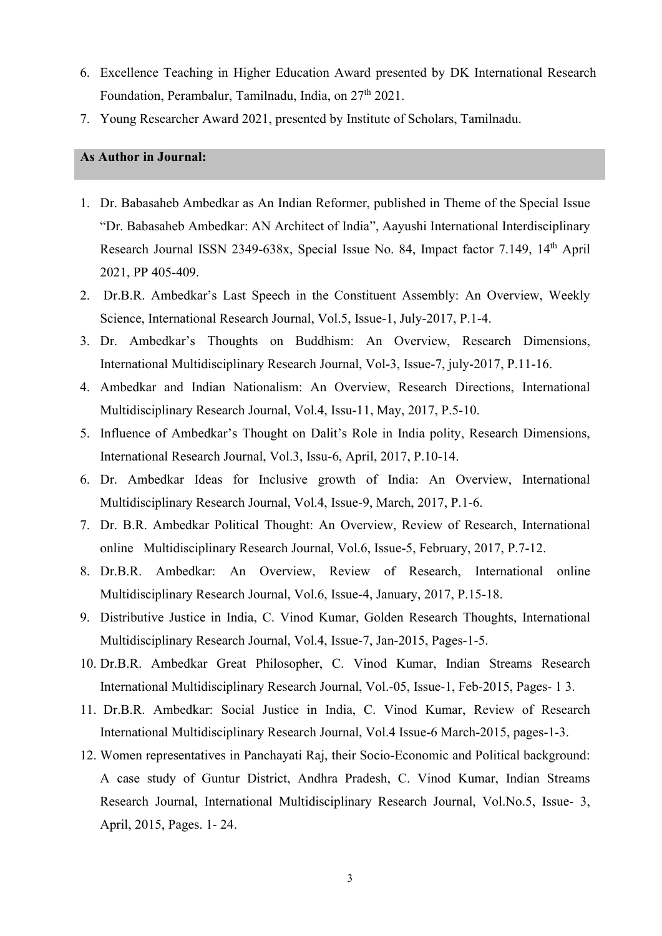- 6. Excellence Teaching in Higher Education Award presented by DK International Research Foundation, Perambalur, Tamilnadu, India, on 27<sup>th</sup> 2021.
- 7. Young Researcher Award 2021, presented by Institute of Scholars, Tamilnadu.

# As Author in Journal:

- 1. Dr. Babasaheb Ambedkar as An Indian Reformer, published in Theme of the Special Issue "Dr. Babasaheb Ambedkar: AN Architect of India", Aayushi International Interdisciplinary Research Journal ISSN 2349-638x, Special Issue No. 84, Impact factor 7.149, 14<sup>th</sup> April 2021, PP 405-409.
- 2. Dr.B.R. Ambedkar's Last Speech in the Constituent Assembly: An Overview, Weekly Science, International Research Journal, Vol.5, Issue-1, July-2017, P.1-4.
- 3. Dr. Ambedkar's Thoughts on Buddhism: An Overview, Research Dimensions, International Multidisciplinary Research Journal, Vol-3, Issue-7, july-2017, P.11-16.
- 4. Ambedkar and Indian Nationalism: An Overview, Research Directions, International Multidisciplinary Research Journal, Vol.4, Issu-11, May, 2017, P.5-10.
- 5. Influence of Ambedkar's Thought on Dalit's Role in India polity, Research Dimensions, International Research Journal, Vol.3, Issu-6, April, 2017, P.10-14.
- 6. Dr. Ambedkar Ideas for Inclusive growth of India: An Overview, International Multidisciplinary Research Journal, Vol.4, Issue-9, March, 2017, P.1-6.
- 7. Dr. B.R. Ambedkar Political Thought: An Overview, Review of Research, International online Multidisciplinary Research Journal, Vol.6, Issue-5, February, 2017, P.7-12.
- 8. Dr.B.R. Ambedkar: An Overview, Review of Research, International online Multidisciplinary Research Journal, Vol.6, Issue-4, January, 2017, P.15-18.
- 9. Distributive Justice in India, C. Vinod Kumar, Golden Research Thoughts, International Multidisciplinary Research Journal, Vol.4, Issue-7, Jan-2015, Pages-1-5.
- 10. Dr.B.R. Ambedkar Great Philosopher, C. Vinod Kumar, Indian Streams Research International Multidisciplinary Research Journal, Vol.-05, Issue-1, Feb-2015, Pages- 1 3.
- 11. Dr.B.R. Ambedkar: Social Justice in India, C. Vinod Kumar, Review of Research International Multidisciplinary Research Journal, Vol.4 Issue-6 March-2015, pages-1-3.
- 12. Women representatives in Panchayati Raj, their Socio-Economic and Political background: A case study of Guntur District, Andhra Pradesh, C. Vinod Kumar, Indian Streams Research Journal, International Multidisciplinary Research Journal, Vol.No.5, Issue- 3, April, 2015, Pages. 1- 24.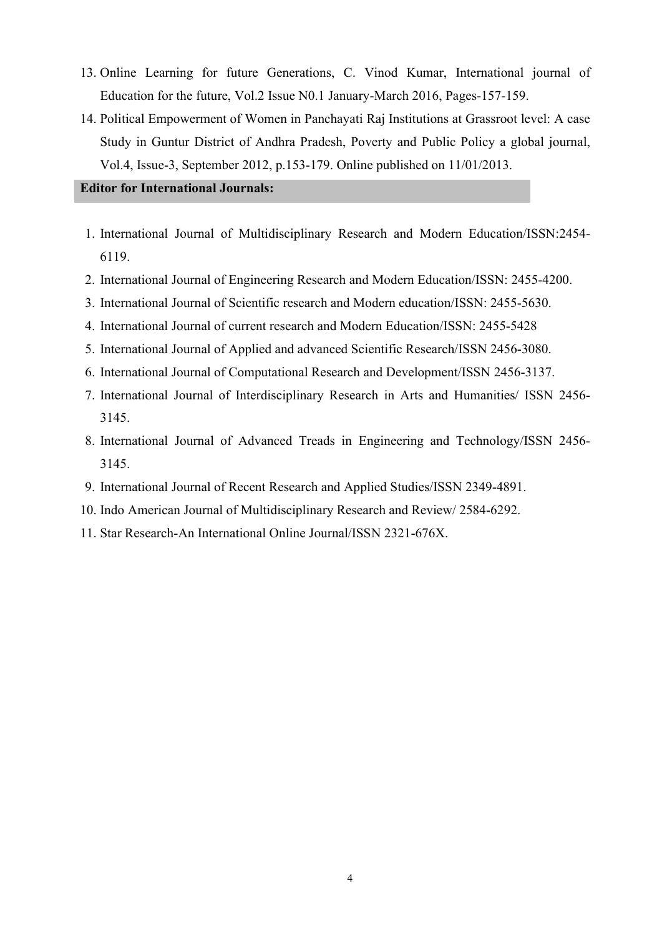- 13. Online Learning for future Generations, C. Vinod Kumar, International journal of Education for the future, Vol.2 Issue N0.1 January-March 2016, Pages-157-159.
- 14. Political Empowerment of Women in Panchayati Raj Institutions at Grassroot level: A case Study in Guntur District of Andhra Pradesh, Poverty and Public Policy a global journal, Vol.4, Issue-3, September 2012, p.153-179. Online published on 11/01/2013.

## Editor for International Journals:

- 1. International Journal of Multidisciplinary Research and Modern Education/ISSN:2454- 6119.
- 2. International Journal of Engineering Research and Modern Education/ISSN: 2455-4200.
- 3. International Journal of Scientific research and Modern education/ISSN: 2455-5630.
- 4. International Journal of current research and Modern Education/ISSN: 2455-5428
- 5. International Journal of Applied and advanced Scientific Research/ISSN 2456-3080.
- 6. International Journal of Computational Research and Development/ISSN 2456-3137.
- 7. International Journal of Interdisciplinary Research in Arts and Humanities/ ISSN 2456- 3145.
- 8. International Journal of Advanced Treads in Engineering and Technology/ISSN 2456- 3145.
- 9. International Journal of Recent Research and Applied Studies/ISSN 2349-4891.
- 10. Indo American Journal of Multidisciplinary Research and Review/ 2584-6292.
- 11. Star Research-An International Online Journal/ISSN 2321-676X.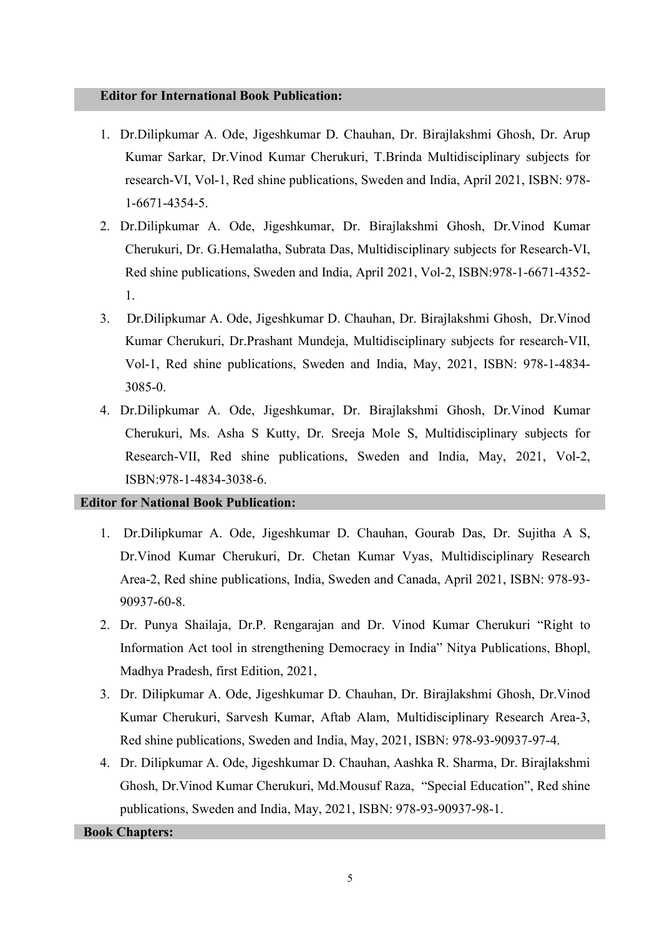#### Editor for International Book Publication:

- 1. Dr.Dilipkumar A. Ode, Jigeshkumar D. Chauhan, Dr. Birajlakshmi Ghosh, Dr. Arup Kumar Sarkar, Dr.Vinod Kumar Cherukuri, T.Brinda Multidisciplinary subjects for research-VI, Vol-1, Red shine publications, Sweden and India, April 2021, ISBN: 978- 1-6671-4354-5.
- 2. Dr.Dilipkumar A. Ode, Jigeshkumar, Dr. Birajlakshmi Ghosh, Dr.Vinod Kumar Cherukuri, Dr. G.Hemalatha, Subrata Das, Multidisciplinary subjects for Research-VI, Red shine publications, Sweden and India, April 2021, Vol-2, ISBN:978-1-6671-4352- 1.
- 3. Dr.Dilipkumar A. Ode, Jigeshkumar D. Chauhan, Dr. Birajlakshmi Ghosh, Dr.Vinod Kumar Cherukuri, Dr.Prashant Mundeja, Multidisciplinary subjects for research-VII, Vol-1, Red shine publications, Sweden and India, May, 2021, ISBN: 978-1-4834- 3085-0.
- 4. Dr.Dilipkumar A. Ode, Jigeshkumar, Dr. Birajlakshmi Ghosh, Dr.Vinod Kumar Cherukuri, Ms. Asha S Kutty, Dr. Sreeja Mole S, Multidisciplinary subjects for Research-VII, Red shine publications, Sweden and India, May, 2021, Vol-2, ISBN:978-1-4834-3038-6.

#### Editor for National Book Publication:

- 1. Dr.Dilipkumar A. Ode, Jigeshkumar D. Chauhan, Gourab Das, Dr. Sujitha A S, Dr.Vinod Kumar Cherukuri, Dr. Chetan Kumar Vyas, Multidisciplinary Research Area-2, Red shine publications, India, Sweden and Canada, April 2021, ISBN: 978-93- 90937-60-8.
- 2. Dr. Punya Shailaja, Dr.P. Rengarajan and Dr. Vinod Kumar Cherukuri "Right to Information Act tool in strengthening Democracy in India" Nitya Publications, Bhopl, Madhya Pradesh, first Edition, 2021,
- 3. Dr. Dilipkumar A. Ode, Jigeshkumar D. Chauhan, Dr. Birajlakshmi Ghosh, Dr.Vinod Kumar Cherukuri, Sarvesh Kumar, Aftab Alam, Multidisciplinary Research Area-3, Red shine publications, Sweden and India, May, 2021, ISBN: 978-93-90937-97-4.
- 4. Dr. Dilipkumar A. Ode, Jigeshkumar D. Chauhan, Aashka R. Sharma, Dr. Birajlakshmi Ghosh, Dr.Vinod Kumar Cherukuri, Md.Mousuf Raza, "Special Education", Red shine publications, Sweden and India, May, 2021, ISBN: 978-93-90937-98-1.

### Book Chapters: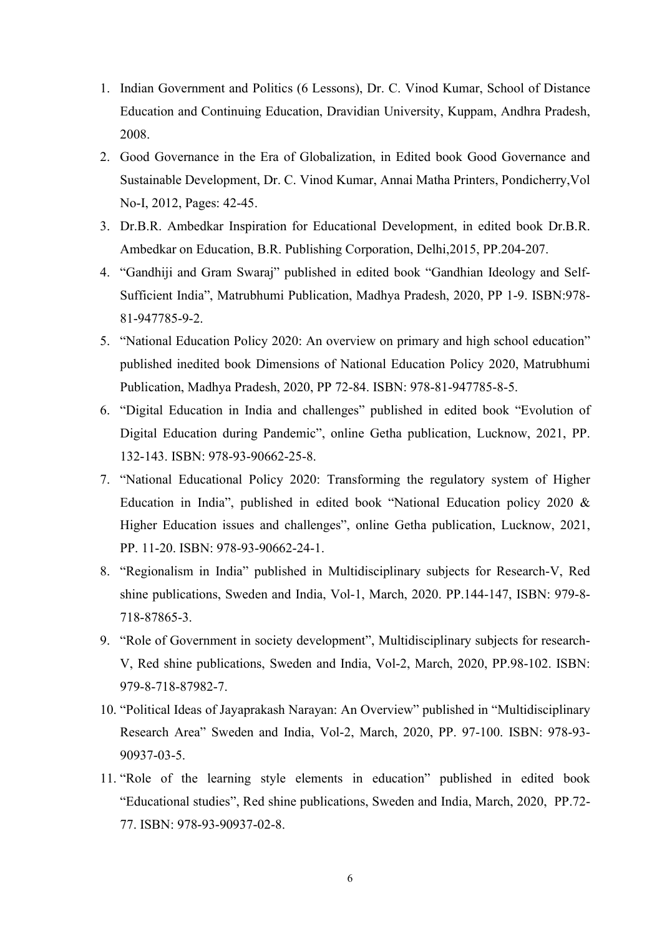- 1. Indian Government and Politics (6 Lessons), Dr. C. Vinod Kumar, School of Distance Education and Continuing Education, Dravidian University, Kuppam, Andhra Pradesh, 2008.
- 2. Good Governance in the Era of Globalization, in Edited book Good Governance and Sustainable Development, Dr. C. Vinod Kumar, Annai Matha Printers, Pondicherry,Vol No-I, 2012, Pages: 42-45.
- 3. Dr.B.R. Ambedkar Inspiration for Educational Development, in edited book Dr.B.R. Ambedkar on Education, B.R. Publishing Corporation, Delhi,2015, PP.204-207.
- 4. "Gandhiji and Gram Swaraj" published in edited book "Gandhian Ideology and Self-Sufficient India", Matrubhumi Publication, Madhya Pradesh, 2020, PP 1-9. ISBN:978- 81-947785-9-2.
- 5. "National Education Policy 2020: An overview on primary and high school education" published inedited book Dimensions of National Education Policy 2020, Matrubhumi Publication, Madhya Pradesh, 2020, PP 72-84. ISBN: 978-81-947785-8-5.
- 6. "Digital Education in India and challenges" published in edited book "Evolution of Digital Education during Pandemic", online Getha publication, Lucknow, 2021, PP. 132-143. ISBN: 978-93-90662-25-8.
- 7. "National Educational Policy 2020: Transforming the regulatory system of Higher Education in India", published in edited book "National Education policy 2020 & Higher Education issues and challenges", online Getha publication, Lucknow, 2021, PP. 11-20. ISBN: 978-93-90662-24-1.
- 8. "Regionalism in India" published in Multidisciplinary subjects for Research-V, Red shine publications, Sweden and India, Vol-1, March, 2020. PP.144-147, ISBN: 979-8- 718-87865-3.
- 9. "Role of Government in society development", Multidisciplinary subjects for research-V, Red shine publications, Sweden and India, Vol-2, March, 2020, PP.98-102. ISBN: 979-8-718-87982-7.
- 10. "Political Ideas of Jayaprakash Narayan: An Overview" published in "Multidisciplinary Research Area" Sweden and India, Vol-2, March, 2020, PP. 97-100. ISBN: 978-93- 90937-03-5.
- 11. "Role of the learning style elements in education" published in edited book "Educational studies", Red shine publications, Sweden and India, March, 2020, PP.72- 77. ISBN: 978-93-90937-02-8.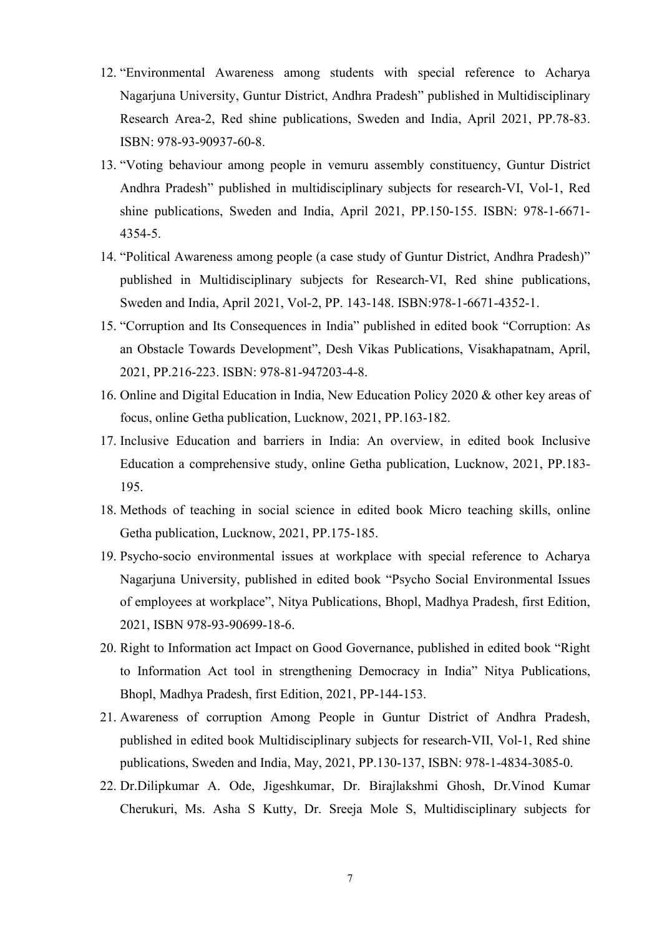- 12. "Environmental Awareness among students with special reference to Acharya Nagarjuna University, Guntur District, Andhra Pradesh" published in Multidisciplinary Research Area-2, Red shine publications, Sweden and India, April 2021, PP.78-83. ISBN: 978-93-90937-60-8.
- 13. "Voting behaviour among people in vemuru assembly constituency, Guntur District Andhra Pradesh" published in multidisciplinary subjects for research-VI, Vol-1, Red shine publications, Sweden and India, April 2021, PP.150-155. ISBN: 978-1-6671- 4354-5.
- 14. "Political Awareness among people (a case study of Guntur District, Andhra Pradesh)" published in Multidisciplinary subjects for Research-VI, Red shine publications, Sweden and India, April 2021, Vol-2, PP. 143-148. ISBN:978-1-6671-4352-1.
- 15. "Corruption and Its Consequences in India" published in edited book "Corruption: As an Obstacle Towards Development", Desh Vikas Publications, Visakhapatnam, April, 2021, PP.216-223. ISBN: 978-81-947203-4-8.
- 16. Online and Digital Education in India, New Education Policy 2020 & other key areas of focus, online Getha publication, Lucknow, 2021, PP.163-182.
- 17. Inclusive Education and barriers in India: An overview, in edited book Inclusive Education a comprehensive study, online Getha publication, Lucknow, 2021, PP.183- 195.
- 18. Methods of teaching in social science in edited book Micro teaching skills, online Getha publication, Lucknow, 2021, PP.175-185.
- 19. Psycho-socio environmental issues at workplace with special reference to Acharya Nagarjuna University, published in edited book "Psycho Social Environmental Issues of employees at workplace", Nitya Publications, Bhopl, Madhya Pradesh, first Edition, 2021, ISBN 978-93-90699-18-6.
- 20. Right to Information act Impact on Good Governance, published in edited book "Right to Information Act tool in strengthening Democracy in India" Nitya Publications, Bhopl, Madhya Pradesh, first Edition, 2021, PP-144-153.
- 21. Awareness of corruption Among People in Guntur District of Andhra Pradesh, published in edited book Multidisciplinary subjects for research-VII, Vol-1, Red shine publications, Sweden and India, May, 2021, PP.130-137, ISBN: 978-1-4834-3085-0.
- 22. Dr.Dilipkumar A. Ode, Jigeshkumar, Dr. Birajlakshmi Ghosh, Dr.Vinod Kumar Cherukuri, Ms. Asha S Kutty, Dr. Sreeja Mole S, Multidisciplinary subjects for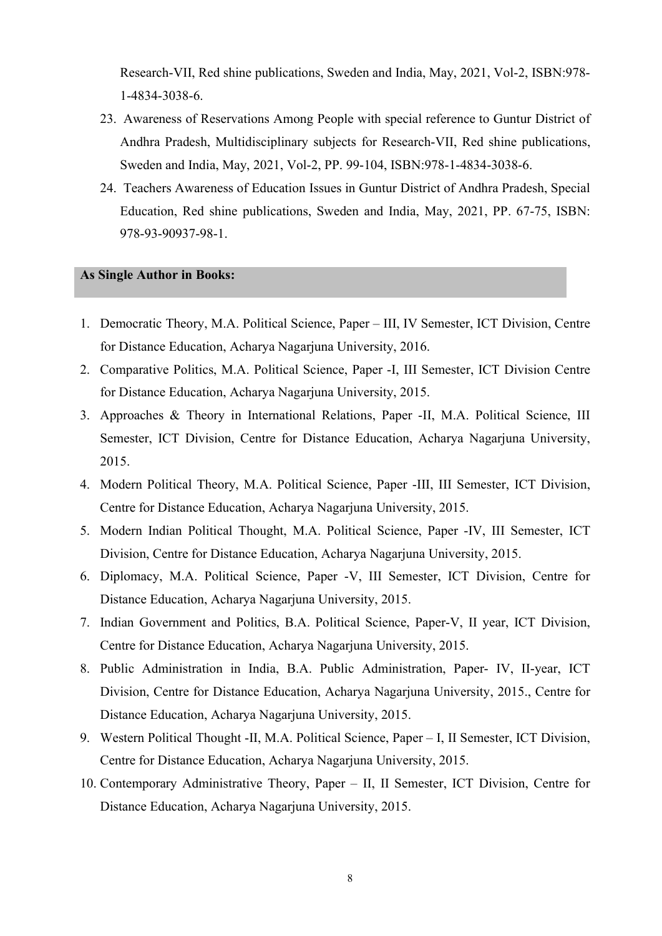Research-VII, Red shine publications, Sweden and India, May, 2021, Vol-2, ISBN:978- 1-4834-3038-6.

- 23. Awareness of Reservations Among People with special reference to Guntur District of Andhra Pradesh, Multidisciplinary subjects for Research-VII, Red shine publications, Sweden and India, May, 2021, Vol-2, PP. 99-104, ISBN:978-1-4834-3038-6.
- 24. Teachers Awareness of Education Issues in Guntur District of Andhra Pradesh, Special Education, Red shine publications, Sweden and India, May, 2021, PP. 67-75, ISBN: 978-93-90937-98-1.

## As Single Author in Books:

- 1. Democratic Theory, M.A. Political Science, Paper III, IV Semester, ICT Division, Centre for Distance Education, Acharya Nagarjuna University, 2016.
- 2. Comparative Politics, M.A. Political Science, Paper -I, III Semester, ICT Division Centre for Distance Education, Acharya Nagarjuna University, 2015.
- 3. Approaches & Theory in International Relations, Paper -II, M.A. Political Science, III Semester, ICT Division, Centre for Distance Education, Acharya Nagarjuna University, 2015.
- 4. Modern Political Theory, M.A. Political Science, Paper -III, III Semester, ICT Division, Centre for Distance Education, Acharya Nagarjuna University, 2015.
- 5. Modern Indian Political Thought, M.A. Political Science, Paper -IV, III Semester, ICT Division, Centre for Distance Education, Acharya Nagarjuna University, 2015.
- 6. Diplomacy, M.A. Political Science, Paper -V, III Semester, ICT Division, Centre for Distance Education, Acharya Nagarjuna University, 2015.
- 7. Indian Government and Politics, B.A. Political Science, Paper-V, II year, ICT Division, Centre for Distance Education, Acharya Nagarjuna University, 2015.
- 8. Public Administration in India, B.A. Public Administration, Paper- IV, II-year, ICT Division, Centre for Distance Education, Acharya Nagarjuna University, 2015., Centre for Distance Education, Acharya Nagarjuna University, 2015.
- 9. Western Political Thought -II, M.A. Political Science, Paper I, II Semester, ICT Division, Centre for Distance Education, Acharya Nagarjuna University, 2015.
- 10. Contemporary Administrative Theory, Paper II, II Semester, ICT Division, Centre for Distance Education, Acharya Nagarjuna University, 2015.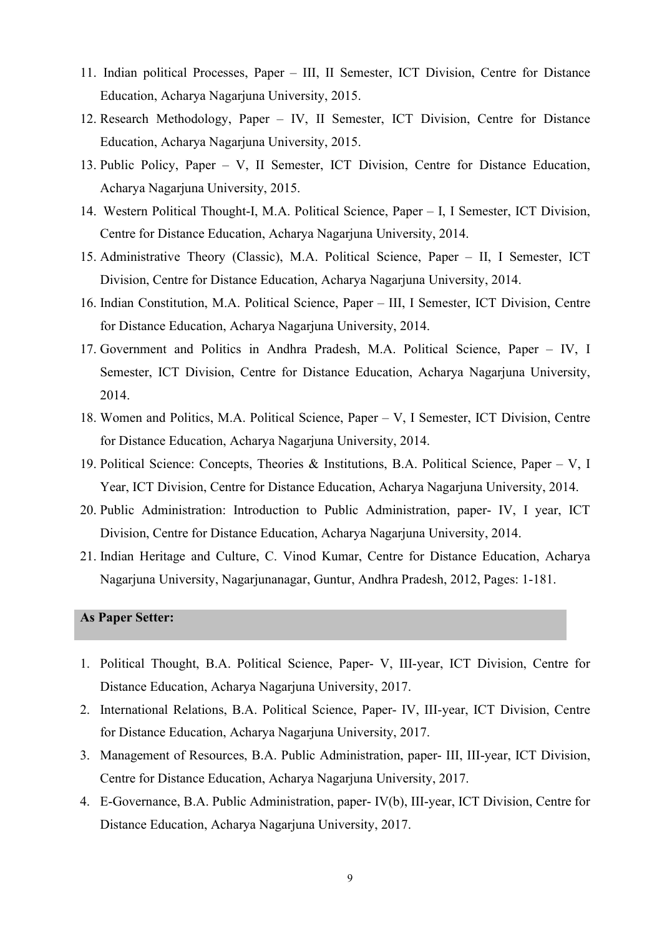- 11. Indian political Processes, Paper III, II Semester, ICT Division, Centre for Distance Education, Acharya Nagarjuna University, 2015.
- 12. Research Methodology, Paper IV, II Semester, ICT Division, Centre for Distance Education, Acharya Nagarjuna University, 2015.
- 13. Public Policy, Paper V, II Semester, ICT Division, Centre for Distance Education, Acharya Nagarjuna University, 2015.
- 14. Western Political Thought-I, M.A. Political Science, Paper I, I Semester, ICT Division, Centre for Distance Education, Acharya Nagarjuna University, 2014.
- 15. Administrative Theory (Classic), M.A. Political Science, Paper II, I Semester, ICT Division, Centre for Distance Education, Acharya Nagarjuna University, 2014.
- 16. Indian Constitution, M.A. Political Science, Paper III, I Semester, ICT Division, Centre for Distance Education, Acharya Nagarjuna University, 2014.
- 17. Government and Politics in Andhra Pradesh, M.A. Political Science, Paper IV, I Semester, ICT Division, Centre for Distance Education, Acharya Nagarjuna University, 2014.
- 18. Women and Politics, M.A. Political Science, Paper V, I Semester, ICT Division, Centre for Distance Education, Acharya Nagarjuna University, 2014.
- 19. Political Science: Concepts, Theories & Institutions, B.A. Political Science, Paper V, I Year, ICT Division, Centre for Distance Education, Acharya Nagarjuna University, 2014.
- 20. Public Administration: Introduction to Public Administration, paper- IV, I year, ICT Division, Centre for Distance Education, Acharya Nagarjuna University, 2014.
- 21. Indian Heritage and Culture, C. Vinod Kumar, Centre for Distance Education, Acharya Nagarjuna University, Nagarjunanagar, Guntur, Andhra Pradesh, 2012, Pages: 1-181.

### As Paper Setter:

- 1. Political Thought, B.A. Political Science, Paper- V, III-year, ICT Division, Centre for Distance Education, Acharya Nagarjuna University, 2017.
- 2. International Relations, B.A. Political Science, Paper- IV, III-year, ICT Division, Centre for Distance Education, Acharya Nagarjuna University, 2017.
- 3. Management of Resources, B.A. Public Administration, paper- III, III-year, ICT Division, Centre for Distance Education, Acharya Nagarjuna University, 2017.
- 4. E-Governance, B.A. Public Administration, paper- IV(b), III-year, ICT Division, Centre for Distance Education, Acharya Nagarjuna University, 2017.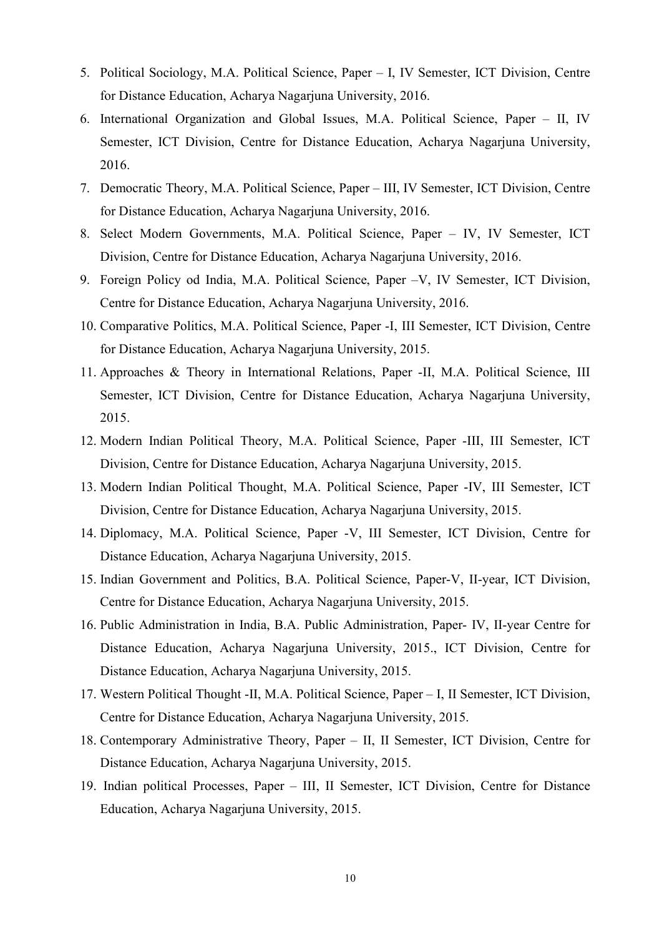- 5. Political Sociology, M.A. Political Science, Paper I, IV Semester, ICT Division, Centre for Distance Education, Acharya Nagarjuna University, 2016.
- 6. International Organization and Global Issues, M.A. Political Science, Paper II, IV Semester, ICT Division, Centre for Distance Education, Acharya Nagarjuna University, 2016.
- 7. Democratic Theory, M.A. Political Science, Paper III, IV Semester, ICT Division, Centre for Distance Education, Acharya Nagarjuna University, 2016.
- 8. Select Modern Governments, M.A. Political Science, Paper IV, IV Semester, ICT Division, Centre for Distance Education, Acharya Nagarjuna University, 2016.
- 9. Foreign Policy od India, M.A. Political Science, Paper –V, IV Semester, ICT Division, Centre for Distance Education, Acharya Nagarjuna University, 2016.
- 10. Comparative Politics, M.A. Political Science, Paper -I, III Semester, ICT Division, Centre for Distance Education, Acharya Nagarjuna University, 2015.
- 11. Approaches & Theory in International Relations, Paper -II, M.A. Political Science, III Semester, ICT Division, Centre for Distance Education, Acharya Nagarjuna University, 2015.
- 12. Modern Indian Political Theory, M.A. Political Science, Paper -III, III Semester, ICT Division, Centre for Distance Education, Acharya Nagarjuna University, 2015.
- 13. Modern Indian Political Thought, M.A. Political Science, Paper -IV, III Semester, ICT Division, Centre for Distance Education, Acharya Nagarjuna University, 2015.
- 14. Diplomacy, M.A. Political Science, Paper -V, III Semester, ICT Division, Centre for Distance Education, Acharya Nagarjuna University, 2015.
- 15. Indian Government and Politics, B.A. Political Science, Paper-V, II-year, ICT Division, Centre for Distance Education, Acharya Nagarjuna University, 2015.
- 16. Public Administration in India, B.A. Public Administration, Paper- IV, II-year Centre for Distance Education, Acharya Nagarjuna University, 2015., ICT Division, Centre for Distance Education, Acharya Nagarjuna University, 2015.
- 17. Western Political Thought -II, M.A. Political Science, Paper I, II Semester, ICT Division, Centre for Distance Education, Acharya Nagarjuna University, 2015.
- 18. Contemporary Administrative Theory, Paper II, II Semester, ICT Division, Centre for Distance Education, Acharya Nagarjuna University, 2015.
- 19. Indian political Processes, Paper III, II Semester, ICT Division, Centre for Distance Education, Acharya Nagarjuna University, 2015.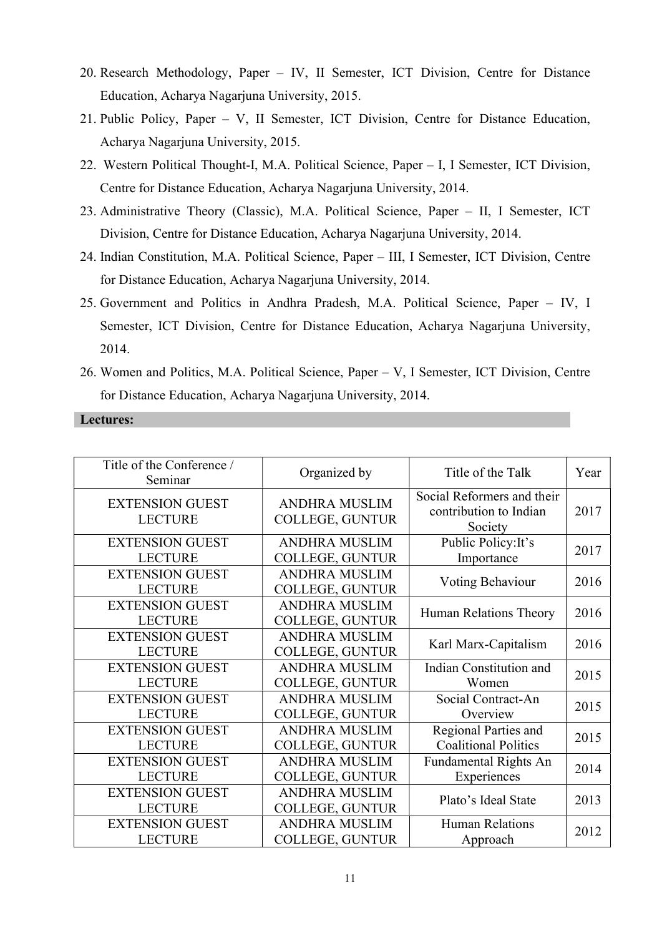- 20. Research Methodology, Paper IV, II Semester, ICT Division, Centre for Distance Education, Acharya Nagarjuna University, 2015.
- 21. Public Policy, Paper V, II Semester, ICT Division, Centre for Distance Education, Acharya Nagarjuna University, 2015.
- 22. Western Political Thought-I, M.A. Political Science, Paper I, I Semester, ICT Division, Centre for Distance Education, Acharya Nagarjuna University, 2014.
- 23. Administrative Theory (Classic), M.A. Political Science, Paper II, I Semester, ICT Division, Centre for Distance Education, Acharya Nagarjuna University, 2014.
- 24. Indian Constitution, M.A. Political Science, Paper III, I Semester, ICT Division, Centre for Distance Education, Acharya Nagarjuna University, 2014.
- 25. Government and Politics in Andhra Pradesh, M.A. Political Science, Paper IV, I Semester, ICT Division, Centre for Distance Education, Acharya Nagarjuna University, 2014.
- 26. Women and Politics, M.A. Political Science, Paper V, I Semester, ICT Division, Centre for Distance Education, Acharya Nagarjuna University, 2014.

### Lectures:

| Title of the Conference /<br>Seminar     | Organized by                            | Title of the Talk                                               | Year |
|------------------------------------------|-----------------------------------------|-----------------------------------------------------------------|------|
| <b>EXTENSION GUEST</b><br><b>LECTURE</b> | <b>ANDHRA MUSLIM</b><br>COLLEGE, GUNTUR | Social Reformers and their<br>contribution to Indian<br>Society | 2017 |
| <b>EXTENSION GUEST</b>                   | <b>ANDHRA MUSLIM</b>                    | Public Policy: It's                                             | 2017 |
| <b>LECTURE</b>                           | COLLEGE, GUNTUR                         | Importance                                                      |      |
| <b>EXTENSION GUEST</b><br><b>LECTURE</b> | <b>ANDHRA MUSLIM</b><br>COLLEGE, GUNTUR | Voting Behaviour                                                | 2016 |
| <b>EXTENSION GUEST</b><br><b>LECTURE</b> | <b>ANDHRA MUSLIM</b><br>COLLEGE, GUNTUR | Human Relations Theory                                          | 2016 |
| <b>EXTENSION GUEST</b><br><b>LECTURE</b> | <b>ANDHRA MUSLIM</b><br>COLLEGE, GUNTUR | Karl Marx-Capitalism                                            | 2016 |
| <b>EXTENSION GUEST</b>                   | <b>ANDHRA MUSLIM</b>                    | Indian Constitution and                                         | 2015 |
| <b>LECTURE</b>                           | COLLEGE, GUNTUR                         | Women                                                           |      |
| <b>EXTENSION GUEST</b>                   | <b>ANDHRA MUSLIM</b>                    | Social Contract-An                                              | 2015 |
| <b>LECTURE</b>                           | COLLEGE, GUNTUR                         | Overview                                                        |      |
| <b>EXTENSION GUEST</b>                   | <b>ANDHRA MUSLIM</b>                    | Regional Parties and                                            | 2015 |
| <b>LECTURE</b>                           | COLLEGE, GUNTUR                         | <b>Coalitional Politics</b>                                     |      |
| <b>EXTENSION GUEST</b>                   | <b>ANDHRA MUSLIM</b>                    | Fundamental Rights An                                           | 2014 |
| <b>LECTURE</b>                           | COLLEGE, GUNTUR                         | Experiences                                                     |      |
| <b>EXTENSION GUEST</b><br><b>LECTURE</b> | <b>ANDHRA MUSLIM</b><br>COLLEGE, GUNTUR | Plato's Ideal State                                             | 2013 |
| <b>EXTENSION GUEST</b>                   | <b>ANDHRA MUSLIM</b>                    | <b>Human Relations</b>                                          | 2012 |
| <b>LECTURE</b>                           | COLLEGE, GUNTUR                         | Approach                                                        |      |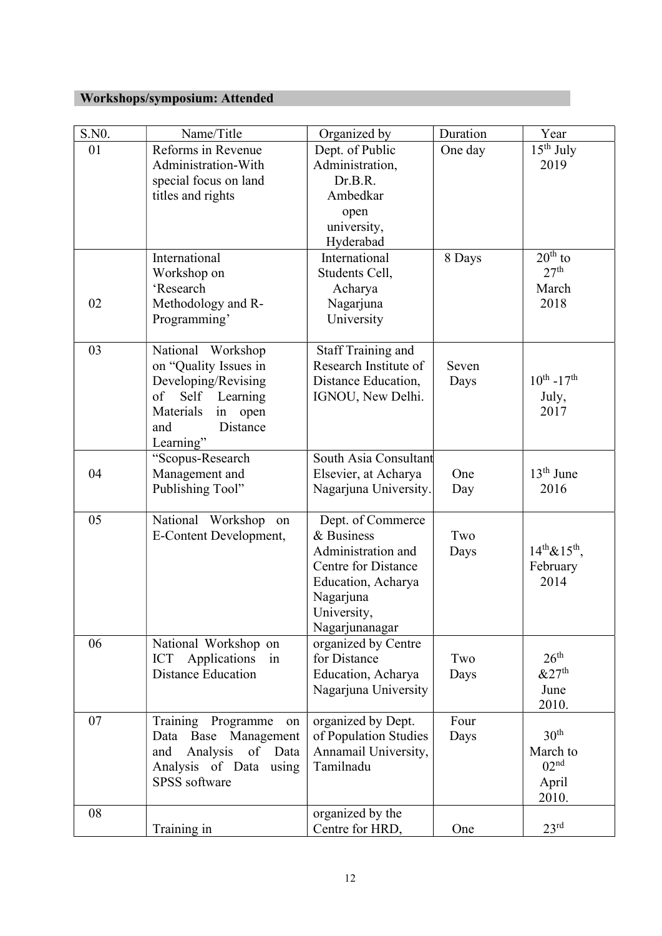# Workshops/symposium: Attended

| S.NO. | Name/Title                                                                                                                                       | Organized by                                                                                                                                            | Duration      | Year                                                               |
|-------|--------------------------------------------------------------------------------------------------------------------------------------------------|---------------------------------------------------------------------------------------------------------------------------------------------------------|---------------|--------------------------------------------------------------------|
| 01    | Reforms in Revenue<br>Administration-With<br>special focus on land<br>titles and rights                                                          | Dept. of Public<br>Administration,<br>Dr.B.R.<br>Ambedkar<br>open<br>university,                                                                        | One day       | $\overline{15^{th}}$ July<br>2019                                  |
|       | International<br>Workshop on<br>'Research                                                                                                        | Hyderabad<br>International<br>Students Cell,<br>Acharya                                                                                                 | 8 Days        | $20th$ to<br>27 <sup>th</sup><br>March                             |
| 02    | Methodology and R-<br>Programming'                                                                                                               | Nagarjuna<br>University                                                                                                                                 |               | 2018                                                               |
| 03    | National Workshop<br>on "Quality Issues in<br>Developing/Revising<br>Self Learning<br>of<br>Materials<br>in open<br>Distance<br>and<br>Learning" | <b>Staff Training and</b><br>Research Institute of<br>Distance Education,<br>IGNOU, New Delhi.                                                          | Seven<br>Days | $10^{th} - 17^{th}$<br>July,<br>2017                               |
| 04    | "Scopus-Research<br>Management and<br>Publishing Tool"                                                                                           | South Asia Consultant<br>Elsevier, at Acharya<br>Nagarjuna University.                                                                                  | One<br>Day    | $13th$ June<br>2016                                                |
| 05    | National Workshop<br>on<br>E-Content Development,                                                                                                | Dept. of Commerce<br>& Business<br>Administration and<br><b>Centre for Distance</b><br>Education, Acharya<br>Nagarjuna<br>University,<br>Nagarjunanagar | Two<br>Days   | $14^{th} \& 15^{th}$ ,<br>February<br>2014                         |
| 06    | National Workshop on<br>Applications<br><b>ICT</b><br>in<br><b>Distance Education</b>                                                            | organized by Centre<br>for Distance<br>Education, Acharya<br>Nagarjuna University                                                                       | Two<br>Days   | 26 <sup>th</sup><br>&27 <sup>th</sup><br>June<br>2010.             |
| 07    | Programme<br>Training<br>on<br>Data Base<br>Management<br>Analysis<br>of Data<br>and<br>Analysis of Data using<br>SPSS software                  | organized by Dept.<br>of Population Studies<br>Annamail University,<br>Tamilnadu                                                                        | Four<br>Days  | 30 <sup>th</sup><br>March to<br>02 <sup>nd</sup><br>April<br>2010. |
| 08    | Training in                                                                                                                                      | organized by the<br>Centre for HRD,                                                                                                                     | One           | 23 <sup>rd</sup>                                                   |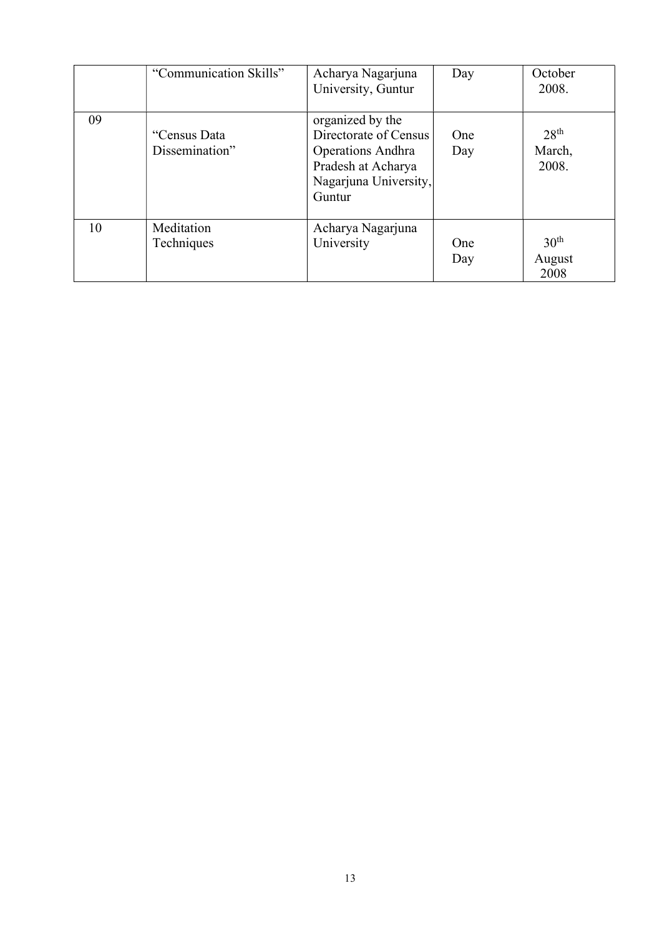|    | "Communication Skills"         | Acharya Nagarjuna<br>University, Guntur                                                                                        | Day               | October<br>2008.                    |
|----|--------------------------------|--------------------------------------------------------------------------------------------------------------------------------|-------------------|-------------------------------------|
| 09 | "Census Data<br>Dissemination" | organized by the<br>Directorate of Census<br><b>Operations Andhra</b><br>Pradesh at Acharya<br>Nagarjuna University,<br>Guntur | One<br>Day        | 28 <sup>th</sup><br>March,<br>2008. |
| 10 | Meditation<br>Techniques       | Acharya Nagarjuna<br>University                                                                                                | <b>One</b><br>Day | 30 <sup>th</sup><br>August<br>2008  |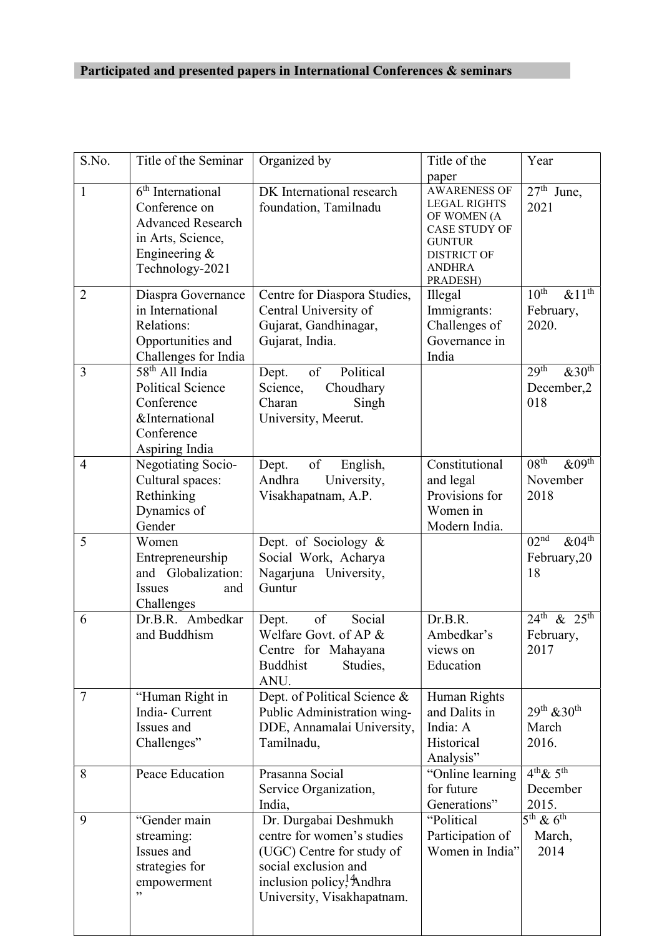# Participated and presented papers in International Conferences & seminars

| S.No.          | Title of the Seminar                                                                                                      | Organized by                                                                                                                                                                    | Title of the<br>paper                                                                                                                                 | Year                                                                   |
|----------------|---------------------------------------------------------------------------------------------------------------------------|---------------------------------------------------------------------------------------------------------------------------------------------------------------------------------|-------------------------------------------------------------------------------------------------------------------------------------------------------|------------------------------------------------------------------------|
| $\mathbf{1}$   | $6th$ International<br>Conference on<br><b>Advanced Research</b><br>in Arts, Science,<br>Engineering &<br>Technology-2021 | DK International research<br>foundation, Tamilnadu                                                                                                                              | <b>AWARENESS OF</b><br><b>LEGAL RIGHTS</b><br>OF WOMEN (A<br><b>CASE STUDY OF</b><br><b>GUNTUR</b><br><b>DISTRICT OF</b><br><b>ANDHRA</b><br>PRADESH) | $\overline{27}$ <sup>th</sup> June,<br>2021                            |
| $\overline{2}$ | Diaspra Governance<br>in International<br>Relations:<br>Opportunities and<br>Challenges for India                         | Centre for Diaspora Studies,<br>Central University of<br>Gujarat, Gandhinagar,<br>Gujarat, India.                                                                               | Illegal<br>Immigrants:<br>Challenges of<br>Governance in<br>India                                                                                     | 10 <sup>th</sup><br>$&1\overline{1^{\text{th}}}$<br>February,<br>2020. |
| $\overline{3}$ | 58 <sup>th</sup> All India<br><b>Political Science</b><br>Conference<br>&International<br>Conference<br>Aspiring India    | Political<br>of<br>Dept.<br>Science,<br>Choudhary<br>Charan<br>Singh<br>University, Meerut.                                                                                     |                                                                                                                                                       | 29 <sup>th</sup><br>$&30^{\text{th}}$<br>December,2<br>018             |
| $\overline{4}$ | Negotiating Socio-<br>Cultural spaces:<br>Rethinking<br>Dynamics of<br>Gender                                             | of<br>Dept.<br>English,<br>Andhra<br>University,<br>Visakhapatnam, A.P.                                                                                                         | Constitutional<br>and legal<br>Provisions for<br>Women in<br>Modern India.                                                                            | 08 <sup>th</sup><br>$&09^{\text{th}}$<br>November<br>2018              |
| 5              | Women<br>Entrepreneurship<br>and Globalization:<br><b>Issues</b><br>and<br>Challenges                                     | Dept. of Sociology &<br>Social Work, Acharya<br>Nagarjuna University,<br>Guntur                                                                                                 |                                                                                                                                                       | 02 <sup>nd</sup><br>$&04^{\overline{\text{h}}}$<br>February, 20<br>18  |
| 6              | Dr.B.R. Ambedkar<br>and Buddhism                                                                                          | Social<br>of<br>Dept.<br>Welfare Govt. of AP &<br>Centre for Mahayana<br><b>Buddhist</b><br>Studies,<br>ANU.                                                                    | Dr.B.R.<br>Ambedkar's<br>views on<br>Education                                                                                                        | $24^{th}$ & $25^{th}$<br>February,<br>2017                             |
| 7              | "Human Right in<br>India- Current<br>Issues and<br>Challenges"                                                            | Dept. of Political Science &<br>Public Administration wing-<br>DDE, Annamalai University,<br>Tamilnadu,                                                                         | Human Rights<br>and Dalits in<br>India: A<br>Historical<br>Analysis"                                                                                  | $29^{th}$ & 30 <sup>th</sup><br>March<br>2016.                         |
| 8              | Peace Education                                                                                                           | Prasanna Social<br>Service Organization,<br>India,                                                                                                                              | "Online learning<br>for future<br>Generations"                                                                                                        | $4^{th}$ & $5^{th}$<br>December<br>2015.                               |
| 9              | "Gender main<br>streaming:<br>Issues and<br>strategies for<br>empowerment<br>,,                                           | Dr. Durgabai Deshmukh<br>centre for women's studies<br>(UGC) Centre for study of<br>social exclusion and<br>inclusion policy, <sup>1</sup> Andhra<br>University, Visakhapatnam. | "Political<br>Participation of<br>Women in India"                                                                                                     | $5^{\text{th}}$ & $6^{\text{th}}$<br>March,<br>2014                    |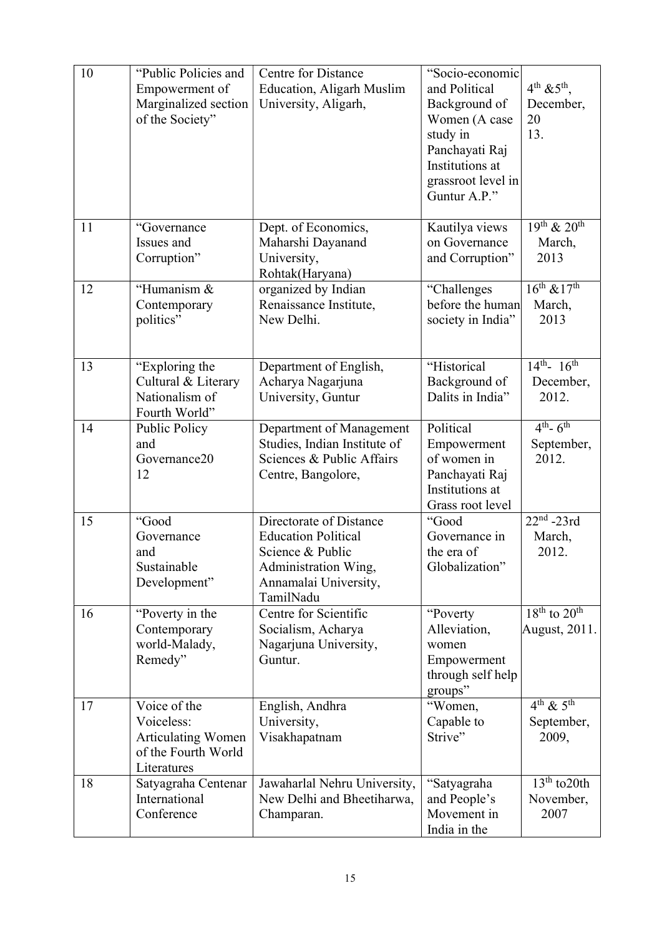| 10 | "Public Policies and<br>Empowerment of<br>Marginalized section<br>of the Society"             | <b>Centre for Distance</b><br><b>Education, Aligarh Muslim</b><br>University, Aligarh,                                                  | "Socio-economic<br>and Political<br>Background of<br>Women (A case<br>study in<br>Panchayati Raj<br>Institutions at<br>grassroot level in<br>Guntur A.P." | $4^{th}$ & $5^{th}$ ,<br>December,<br>20<br>13. |
|----|-----------------------------------------------------------------------------------------------|-----------------------------------------------------------------------------------------------------------------------------------------|-----------------------------------------------------------------------------------------------------------------------------------------------------------|-------------------------------------------------|
| 11 | "Governance<br>Issues and<br>Corruption"                                                      | Dept. of Economics,<br>Maharshi Dayanand<br>University,<br>Rohtak(Haryana)                                                              | Kautilya views<br>on Governance<br>and Corruption"                                                                                                        | $19^{th}$ & $20^{th}$<br>March,<br>2013         |
| 12 | "Humanism &<br>Contemporary<br>politics"                                                      | organized by Indian<br>Renaissance Institute,<br>New Delhi.                                                                             | "Challenges<br>before the human<br>society in India"                                                                                                      | $16^{th}$ & $17^{th}$<br>March,<br>2013         |
| 13 | "Exploring the<br>Cultural & Literary<br>Nationalism of<br>Fourth World"                      | Department of English,<br>Acharya Nagarjuna<br>University, Guntur                                                                       | "Historical<br>Background of<br>Dalits in India"                                                                                                          | $14^{th}$ - $16^{th}$<br>December,<br>2012.     |
| 14 | Public Policy<br>and<br>Governance20<br>12                                                    | Department of Management<br>Studies, Indian Institute of<br>Sciences & Public Affairs<br>Centre, Bangolore,                             | Political<br>Empowerment<br>of women in<br>Panchayati Raj<br>Institutions at<br>Grass root level                                                          | $4^{th} - 6^{th}$<br>September,<br>2012.        |
| 15 | "Good<br>Governance<br>and<br>Sustainable<br>Development"                                     | Directorate of Distance<br><b>Education Political</b><br>Science & Public<br>Administration Wing,<br>Annamalai University,<br>TamilNadu | "Good<br>Governance in<br>the era of<br>Globalization"                                                                                                    | $22nd - 23rd$<br>March,<br>2012.                |
| 16 | "Poverty in the<br>Contemporary<br>world-Malady,<br>Remedy"                                   | Centre for Scientific<br>Socialism, Acharya<br>Nagarjuna University,<br>Guntur.                                                         | "Poverty"<br>Alleviation,<br>women<br>Empowerment<br>through self help<br>groups"                                                                         | $18th$ to $20th$<br>August, 2011.               |
| 17 | Voice of the<br>Voiceless:<br><b>Articulating Women</b><br>of the Fourth World<br>Literatures | English, Andhra<br>University,<br>Visakhapatnam                                                                                         | "Women,<br>Capable to<br>Strive"                                                                                                                          | $4^{th}$ & $5^{th}$<br>September,<br>2009,      |
| 18 | Satyagraha Centenar<br>International<br>Conference                                            | Jawaharlal Nehru University,<br>New Delhi and Bheetiharwa,<br>Champaran.                                                                | "Satyagraha<br>and People's<br>Movement in<br>India in the                                                                                                | $13th$ to 20th<br>November,<br>2007             |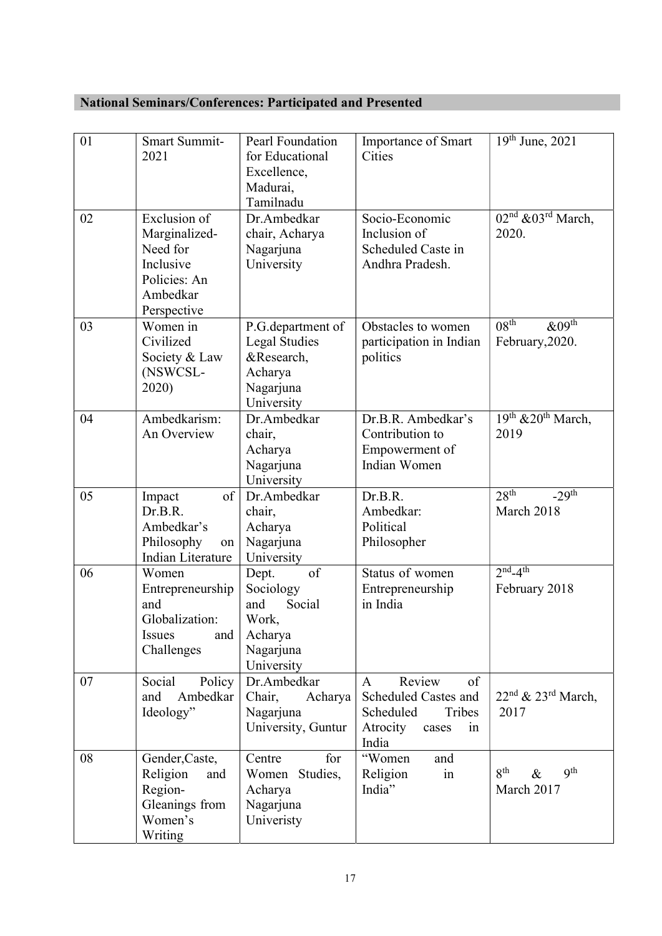# National Seminars/Conferences: Participated and Presented

| 01 | <b>Smart Summit-</b><br>2021                                                                      | Pearl Foundation<br>for Educational<br>Excellence,<br>Madurai,<br>Tamilnadu                    | Importance of Smart<br>Cities                                                                                   | $19^{th}$ June, 2021                                     |
|----|---------------------------------------------------------------------------------------------------|------------------------------------------------------------------------------------------------|-----------------------------------------------------------------------------------------------------------------|----------------------------------------------------------|
| 02 | Exclusion of<br>Marginalized-<br>Need for<br>Inclusive<br>Policies: An<br>Ambedkar<br>Perspective | Dr.Ambedkar<br>chair, Acharya<br>Nagarjuna<br>University                                       | Socio-Economic<br>Inclusion of<br>Scheduled Caste in<br>Andhra Pradesh.                                         | $02nd$ & $03rd$ March,<br>2020.                          |
| 03 | Women in<br>Civilized<br>Society & Law<br>(NSWCSL-<br>2020)                                       | P.G. department of<br><b>Legal Studies</b><br>&Research,<br>Acharya<br>Nagarjuna<br>University | Obstacles to women<br>participation in Indian<br>politics                                                       | 08 <sup>th</sup><br>$&09^{\text{th}}$<br>February, 2020. |
| 04 | Ambedkarism:<br>An Overview                                                                       | Dr.Ambedkar<br>chair,<br>Acharya<br>Nagarjuna<br>University                                    | Dr.B.R. Ambedkar's<br>Contribution to<br>Empowerment of<br>Indian Women                                         | 19th & 20th March,<br>2019                               |
| 05 | of<br>Impact<br>Dr.B.R.<br>Ambedkar's<br>Philosophy<br>on<br>Indian Literature                    | Dr.Ambedkar<br>chair,<br>Acharya<br>Nagarjuna<br>University                                    | Dr.B.R.<br>Ambedkar:<br>Political<br>Philosopher                                                                | 28 <sup>th</sup><br>$-29$ <sup>th</sup><br>March 2018    |
| 06 | Women<br>Entrepreneurship<br>and<br>Globalization:<br><b>Issues</b><br>and<br>Challenges          | of<br>Dept.<br>Sociology<br>Social<br>and<br>Work,<br>Acharya<br>Nagarjuna<br>University       | Status of women<br>Entrepreneurship<br>in India                                                                 | $2nd-4th$<br>February 2018                               |
| 07 | Social<br>Policy<br>Ambedkar<br>and<br>Ideology"                                                  | Dr.Ambedkar<br>Chair,<br>Acharya<br>Nagarjuna<br>University, Guntur                            | Review<br>of<br>$\mathbf{A}$<br>Scheduled Castes and<br>Scheduled<br>Tribes<br>Atrocity<br>cases<br>in<br>India | $22nd$ & $23rd$ March,<br>2017                           |
| 08 | Gender, Caste,<br>Religion<br>and<br>Region-<br>Gleanings from<br>Women's<br>Writing              | for<br>Centre<br>Women Studies,<br>Acharya<br>Nagarjuna<br>Univeristy                          | "Women<br>and<br>Religion<br>in<br>India"                                                                       | 8 <sup>th</sup><br><b>9th</b><br>$\&$<br>March 2017      |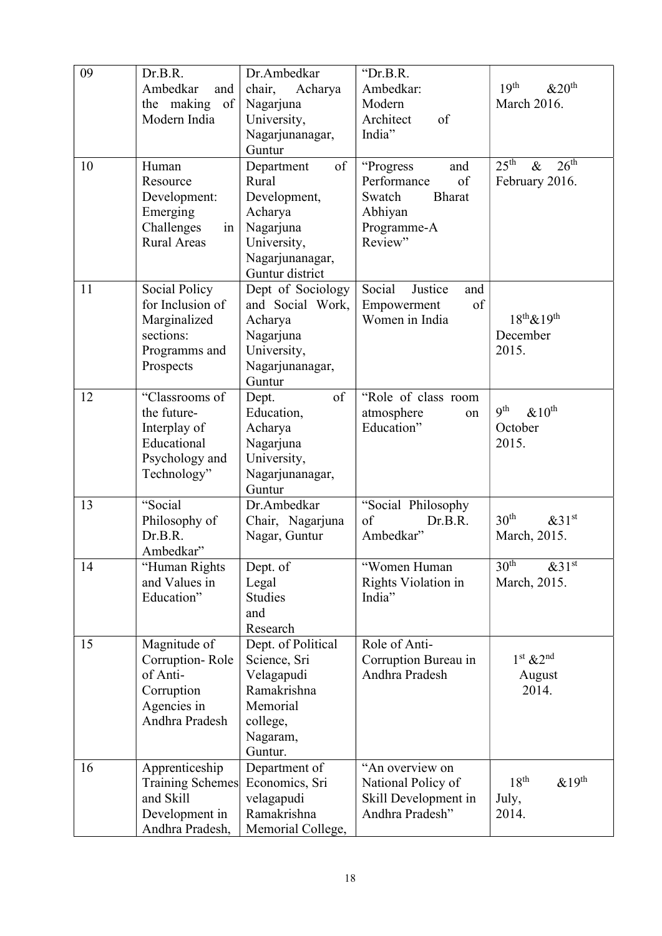| 09 | Dr.B.R.                 | Dr.Ambedkar        | "Dr.B.R.                 |                                              |
|----|-------------------------|--------------------|--------------------------|----------------------------------------------|
|    | Ambedkar<br>and         | chair,<br>Acharya  | Ambedkar:                | 19 <sup>th</sup><br>&20 <sup>th</sup>        |
|    | the making<br>of        | Nagarjuna          | Modern                   | March 2016.                                  |
|    | Modern India            | University,        | Architect<br>of          |                                              |
|    |                         | Nagarjunanagar,    | India"                   |                                              |
|    |                         | Guntur             |                          |                                              |
| 10 | Human                   | of<br>Department   | "Progress"<br>and        | 25 <sup>th</sup><br>26 <sup>th</sup><br>$\&$ |
|    | Resource                | Rural              | Performance<br>of        | February 2016.                               |
|    | Development:            | Development,       | Swatch<br><b>Bharat</b>  |                                              |
|    | Emerging                | Acharya            | Abhiyan                  |                                              |
|    | Challenges<br>in        | Nagarjuna          | Programme-A              |                                              |
|    | <b>Rural Areas</b>      | University,        | Review"                  |                                              |
|    |                         | Nagarjunanagar,    |                          |                                              |
|    |                         | Guntur district    |                          |                                              |
| 11 | Social Policy           | Dept of Sociology  | Social<br>Justice<br>and |                                              |
|    | for Inclusion of        | and Social Work,   | of<br>Empowerment        |                                              |
|    | Marginalized            | Acharya            | Women in India           | $18^{th}$ & $19^{th}$                        |
|    | sections:               | Nagarjuna          |                          | December                                     |
|    | Programms and           | University,        |                          | 2015.                                        |
|    | Prospects               | Nagarjunanagar,    |                          |                                              |
|    |                         | Guntur             |                          |                                              |
| 12 | "Classrooms of          | of<br>Dept.        | "Role of class room      |                                              |
|    | the future-             | Education,         | atmosphere<br>on         | <b>9th</b><br>& 10 <sup>th</sup>             |
|    | Interplay of            | Acharya            | Education"               | October                                      |
|    | Educational             | Nagarjuna          |                          | 2015.                                        |
|    | Psychology and          | University,        |                          |                                              |
|    | Technology"             | Nagarjunanagar,    |                          |                                              |
|    |                         | Guntur             |                          |                                              |
| 13 | "Social                 | Dr.Ambedkar        | "Social Philosophy       |                                              |
|    | Philosophy of           | Chair, Nagarjuna   | $\sigma$ f<br>Dr.B.R.    | 30 <sup>th</sup><br>&31 <sup>st</sup>        |
|    | Dr.B.R.                 | Nagar, Guntur      | Ambedkar"                | March, 2015.                                 |
|    | Ambedkar"               |                    |                          |                                              |
| 14 | "Human Rights           | Dept. of           | "Women Human             | 30 <sup>th</sup><br>&31 <sup>st</sup>        |
|    | and Values in           | Legal              | Rights Violation in      | March, 2015.                                 |
|    | Education"              | Studies            | India"                   |                                              |
|    |                         | and                |                          |                                              |
|    |                         | Research           |                          |                                              |
| 15 | Magnitude of            | Dept. of Political | Role of Anti-            |                                              |
|    | Corruption-Role         | Science, Sri       | Corruption Bureau in     | $1st$ & $2nd$                                |
|    | of Anti-                | Velagapudi         | Andhra Pradesh           | August                                       |
|    | Corruption              | Ramakrishna        |                          | 2014.                                        |
|    | Agencies in             | Memorial           |                          |                                              |
|    | Andhra Pradesh          | college,           |                          |                                              |
|    |                         | Nagaram,           |                          |                                              |
|    |                         | Guntur.            |                          |                                              |
| 16 | Apprenticeship          | Department of      | "An overview on          |                                              |
|    | <b>Training Schemes</b> | Economics, Sri     | National Policy of       | 18 <sup>th</sup><br>$&19^{\text{th}}$        |
|    | and Skill               | velagapudi         | Skill Development in     | July,                                        |
|    | Development in          | Ramakrishna        | Andhra Pradesh"          | 2014.                                        |
|    | Andhra Pradesh,         | Memorial College,  |                          |                                              |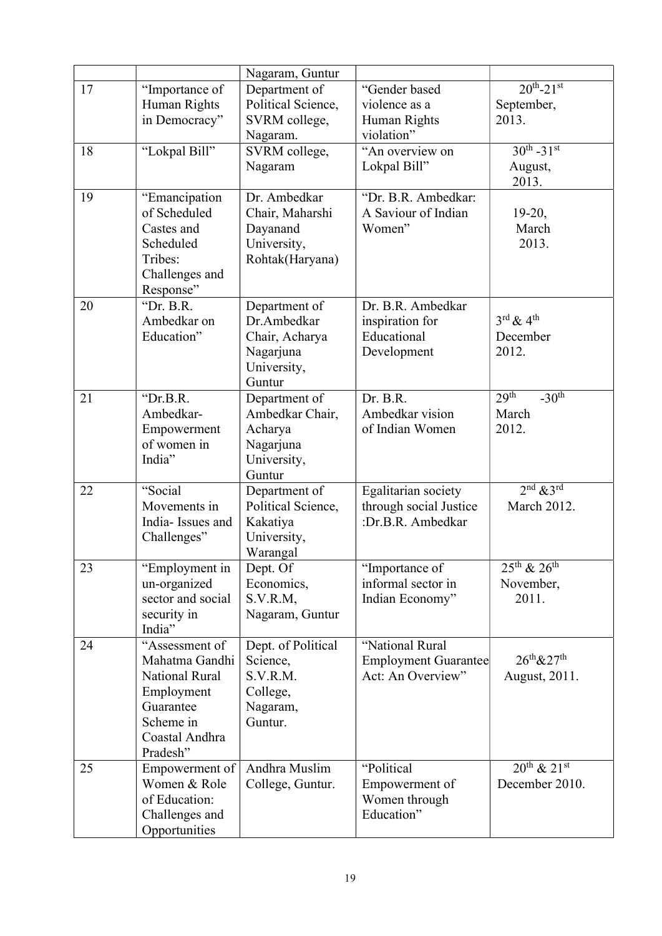|    |                       | Nagaram, Guntur    |                             |                                         |
|----|-----------------------|--------------------|-----------------------------|-----------------------------------------|
| 17 | "Importance of        | Department of      | "Gender based               | $20^{th} - 21^{st}$                     |
|    | Human Rights          | Political Science, | violence as a               | September,                              |
|    | in Democracy"         | SVRM college,      | Human Rights                | 2013.                                   |
|    |                       | Nagaram.           | violation"                  |                                         |
| 18 | "Lokpal Bill"         | SVRM college,      | "An overview on             | $30^{th} - 31^{st}$                     |
|    |                       | Nagaram            | Lokpal Bill"                | August,                                 |
|    |                       |                    |                             | 2013.                                   |
| 19 | "Emancipation         | Dr. Ambedkar       | "Dr. B.R. Ambedkar:         |                                         |
|    | of Scheduled          | Chair, Maharshi    | A Saviour of Indian         | $19-20$ ,                               |
|    | Castes and            | Dayanand           | Women"                      | March                                   |
|    | Scheduled             | University,        |                             | 2013.                                   |
|    | Tribes:               | Rohtak(Haryana)    |                             |                                         |
|    | Challenges and        |                    |                             |                                         |
|    | Response"             |                    |                             |                                         |
| 20 | "Dr. B.R.             | Department of      | Dr. B.R. Ambedkar           |                                         |
|    | Ambedkar on           | Dr.Ambedkar        | inspiration for             | $3^{\text{rd}}$ & $4^{\text{th}}$       |
|    | Education"            | Chair, Acharya     | Educational                 | December                                |
|    |                       | Nagarjuna          | Development                 | 2012.                                   |
|    |                       | University,        |                             |                                         |
|    |                       | Guntur             |                             |                                         |
| 21 | " $Dr.B.R.$           | Department of      | Dr. B.R.                    | 29 <sup>th</sup><br>$-30$ <sup>th</sup> |
|    | Ambedkar-             | Ambedkar Chair,    | Ambedkar vision             | March                                   |
|    | Empowerment           | Acharya            | of Indian Women             | 2012.                                   |
|    | of women in           | Nagarjuna          |                             |                                         |
|    | India"                | University,        |                             |                                         |
|    |                       | Guntur             |                             |                                         |
| 22 | "Social               | Department of      | Egalitarian society         | $2nd$ & 3 <sup>rd</sup>                 |
|    | Movements in          | Political Science, | through social Justice      | March 2012.                             |
|    | India-Issues and      | Kakatiya           | :Dr.B.R. Ambedkar           |                                         |
|    | Challenges"           | University,        |                             |                                         |
|    |                       | Warangal           |                             |                                         |
| 23 | "Employment in        | Dept. Of           | "Importance of              | $25^{th}$ & $26^{th}$                   |
|    | un-organized          | Economics,         | informal sector in          | November,                               |
|    | sector and social     | S.V.R.M,           | Indian Economy"             | 2011.                                   |
|    | security in           | Nagaram, Guntur    |                             |                                         |
|    | India"                |                    |                             |                                         |
| 24 | "Assessment of        | Dept. of Political | "National Rural             |                                         |
|    | Mahatma Gandhi        | Science,           | <b>Employment Guarantee</b> | $26^{th}$ & $27^{th}$                   |
|    | <b>National Rural</b> | S.V.R.M.           | Act: An Overview"           | August, 2011.                           |
|    | Employment            | College,           |                             |                                         |
|    | Guarantee             | Nagaram,           |                             |                                         |
|    | Scheme in             | Guntur.            |                             |                                         |
|    | Coastal Andhra        |                    |                             |                                         |
|    | Pradesh"              |                    |                             |                                         |
| 25 | Empowerment of        | Andhra Muslim      | "Political                  | $20^{th}$ & $21^{st}$                   |
|    | Women & Role          | College, Guntur.   | Empowerment of              | December 2010.                          |
|    | of Education:         |                    | Women through               |                                         |
|    | Challenges and        |                    | Education"                  |                                         |
|    | Opportunities         |                    |                             |                                         |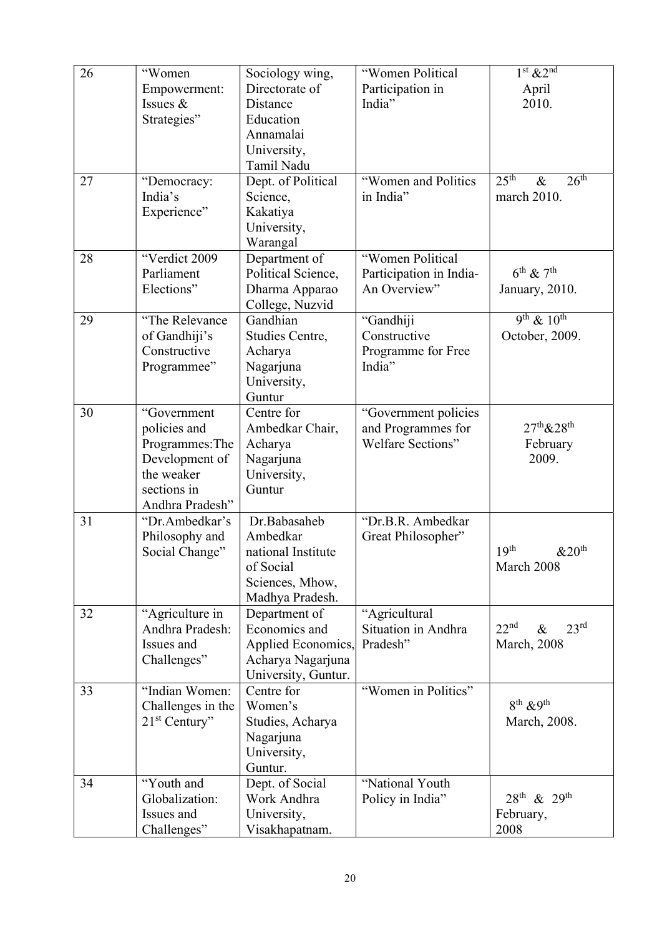| 26 | "Women                             | Sociology wing,                         | "Women Political                     | $1st$ & $2nd$                                |
|----|------------------------------------|-----------------------------------------|--------------------------------------|----------------------------------------------|
|    | Empowerment:                       | Directorate of                          | Participation in                     | April                                        |
|    | Issues $&$                         | Distance                                | India"                               | 2010.                                        |
|    | Strategies"                        | Education                               |                                      |                                              |
|    |                                    | Annamalai                               |                                      |                                              |
|    |                                    | University,                             |                                      |                                              |
|    |                                    | Tamil Nadu                              |                                      |                                              |
| 27 | "Democracy:                        | Dept. of Political                      | "Women and Politics                  | $25^{\text{th}}$<br>26 <sup>th</sup><br>$\&$ |
|    | India's                            | Science,                                | in India"                            | march 2010.                                  |
|    | Experience"                        | Kakatiya                                |                                      |                                              |
|    |                                    | University,                             |                                      |                                              |
|    |                                    | Warangal                                |                                      |                                              |
| 28 | "Verdict 2009                      | Department of                           | "Women Political                     |                                              |
|    | Parliament                         | Political Science,                      | Participation in India-              | $6^{\text{th}}$ & $7^{\text{th}}$            |
|    | Elections"                         | Dharma Apparao                          | An Overview"                         | January, 2010.                               |
|    |                                    | College, Nuzvid                         |                                      |                                              |
| 29 | "The Relevance                     | Gandhian                                | "Gandhiji                            | $9^{th}$ & $10^{th}$                         |
|    | of Gandhiji's                      | Studies Centre,                         | Constructive                         | October, 2009.                               |
|    | Constructive                       | Acharya                                 | Programme for Free                   |                                              |
|    | Programmee"                        | Nagarjuna                               | India"                               |                                              |
|    |                                    | University,                             |                                      |                                              |
|    |                                    | Guntur                                  |                                      |                                              |
| 30 | "Government                        | Centre for                              | "Government policies                 |                                              |
|    | policies and                       | Ambedkar Chair,                         | and Programmes for                   | $27^{th}$ & $28^{th}$                        |
|    | Programmes: The                    | Acharya                                 | Welfare Sections"                    | February                                     |
|    | Development of                     | Nagarjuna                               |                                      | 2009.                                        |
|    | the weaker                         | University,                             |                                      |                                              |
|    | sections in                        | Guntur                                  |                                      |                                              |
|    | Andhra Pradesh"                    |                                         |                                      |                                              |
| 31 | "Dr.Ambedkar's                     | Dr.Babasaheb                            | "Dr.B.R. Ambedkar                    |                                              |
|    | Philosophy and                     | Ambedkar                                | Great Philosopher"                   |                                              |
|    | Social Change"                     | national Institute                      |                                      | 19 <sup>th</sup><br>&20 <sup>th</sup>        |
|    |                                    | of Social                               |                                      | March 2008                                   |
|    |                                    | Sciences, Mhow,                         |                                      |                                              |
| 32 |                                    | Madhya Pradesh.<br>Department of        |                                      |                                              |
|    | "Agriculture in<br>Andhra Pradesh: | Economics and                           | "Agricultural<br>Situation in Andhra | 22 <sup>nd</sup><br>23 <sup>rd</sup>         |
|    | Issues and                         |                                         | Pradesh"                             | $\&$                                         |
|    | Challenges"                        | Applied Economics,<br>Acharya Nagarjuna |                                      | <b>March</b> , 2008                          |
|    |                                    | University, Guntur.                     |                                      |                                              |
| 33 | "Indian Women:                     | Centre for                              | "Women in Politics"                  |                                              |
|    | Challenges in the                  | Women's                                 |                                      | $8^{th}$ & 9 <sup>th</sup>                   |
|    | $21st$ Century"                    | Studies, Acharya                        |                                      | March, 2008.                                 |
|    |                                    | Nagarjuna                               |                                      |                                              |
|    |                                    | University,                             |                                      |                                              |
|    |                                    | Guntur.                                 |                                      |                                              |
| 34 | "Youth and                         | Dept. of Social                         | "National Youth                      |                                              |
|    | Globalization:                     | Work Andhra                             | Policy in India"                     | $28^{th}$ & $29^{th}$                        |
|    | Issues and                         | University,                             |                                      | February,                                    |
|    | Challenges"                        | Visakhapatnam.                          |                                      | 2008                                         |
|    |                                    |                                         |                                      |                                              |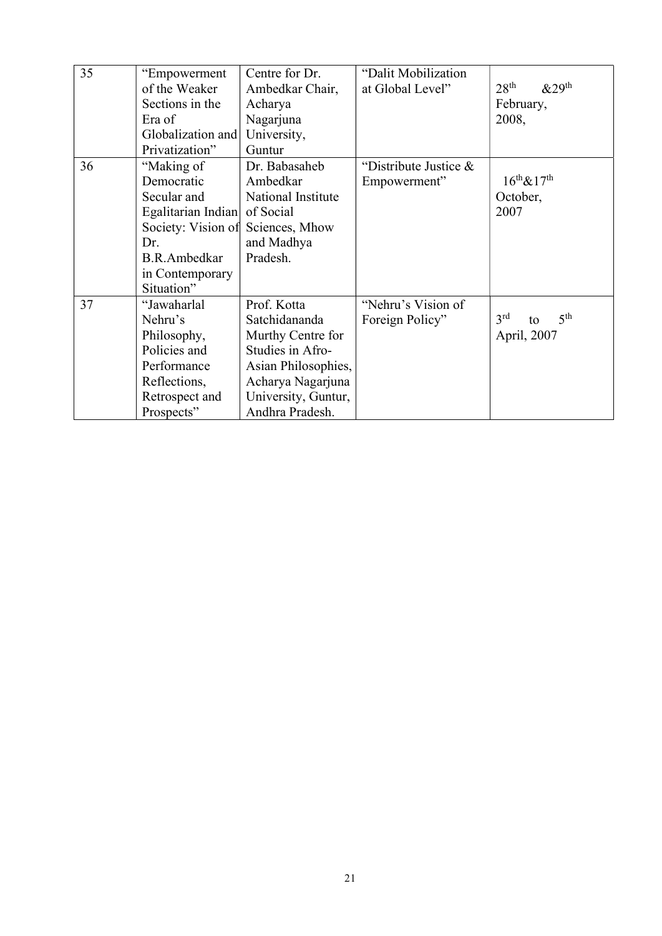| 35 | "Empowerment        | Centre for Dr.      | "Dalit Mobilization   |                                          |
|----|---------------------|---------------------|-----------------------|------------------------------------------|
|    | of the Weaker       | Ambedkar Chair,     | at Global Level"      | 28 <sup>th</sup><br>&29 <sup>th</sup>    |
|    | Sections in the     | Acharya             |                       | February,                                |
|    | Era of              | Nagarjuna           |                       | 2008,                                    |
|    | Globalization and   | University,         |                       |                                          |
|    | Privatization"      | Guntur              |                       |                                          |
| 36 | "Making of          | Dr. Babasaheb       | "Distribute Justice & |                                          |
|    | Democratic          | Ambedkar            | Empowerment"          | $16^{th}$ & $17^{th}$                    |
|    | Secular and         | National Institute  |                       | October,                                 |
|    | Egalitarian Indian  | of Social           |                       | 2007                                     |
|    | Society: Vision of  | Sciences, Mhow      |                       |                                          |
|    | Dr.                 | and Madhya          |                       |                                          |
|    | <b>B.R.Ambedkar</b> | Pradesh.            |                       |                                          |
|    | in Contemporary     |                     |                       |                                          |
|    | Situation"          |                     |                       |                                          |
| 37 | "Jawaharlal         | Prof. Kotta         | "Nehru's Vision of    |                                          |
|    | Nehru's             | Satchidananda       | Foreign Policy"       | 3 <sup>rd</sup><br>5 <sup>th</sup><br>to |
|    | Philosophy,         | Murthy Centre for   |                       | April, 2007                              |
|    | Policies and        | Studies in Afro-    |                       |                                          |
|    | Performance         | Asian Philosophies, |                       |                                          |
|    | Reflections,        | Acharya Nagarjuna   |                       |                                          |
|    | Retrospect and      | University, Guntur, |                       |                                          |
|    | Prospects"          | Andhra Pradesh.     |                       |                                          |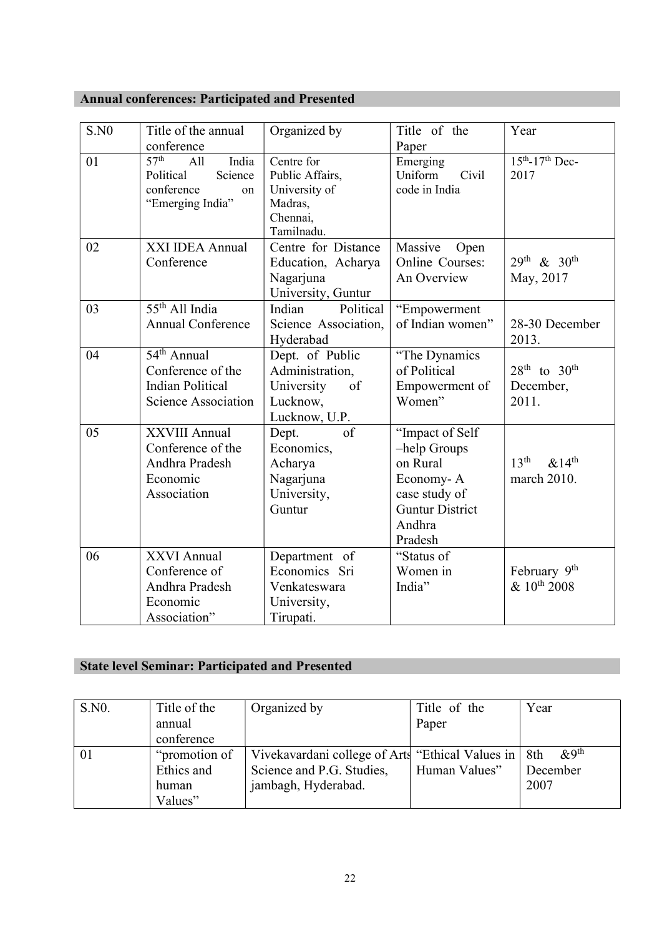# Annual conferences: Participated and Presented

| S.N0 | Title of the annual<br>conference                                                                     | Organized by                                                                        | Title of the<br>Paper                                                                                                    | Year                                                       |
|------|-------------------------------------------------------------------------------------------------------|-------------------------------------------------------------------------------------|--------------------------------------------------------------------------------------------------------------------------|------------------------------------------------------------|
| 01   | 57 <sup>th</sup><br>India<br>All<br>Science<br>Political<br>conference<br>on<br>"Emerging India"      | Centre for<br>Public Affairs,<br>University of<br>Madras,<br>Chennai,<br>Tamilnadu. | Emerging<br>Uniform<br>Civil<br>code in India                                                                            | $15^{th} - 17^{th}$ Dec-<br>2017                           |
| 02   | XXI IDEA Annual<br>Conference                                                                         | Centre for Distance<br>Education, Acharya<br>Nagarjuna<br>University, Guntur        | Massive<br>Open<br>Online Courses:<br>An Overview                                                                        | $29^{th}$ & $30^{th}$<br>May, 2017                         |
| 03   | 55 <sup>th</sup> All India<br><b>Annual Conference</b>                                                | Political<br>Indian<br>Science Association,<br>Hyderabad                            | "Empowerment<br>of Indian women"                                                                                         | 28-30 December<br>2013.                                    |
| 04   | 54 <sup>th</sup> Annual<br>Conference of the<br><b>Indian Political</b><br><b>Science Association</b> | Dept. of Public<br>Administration,<br>of<br>University<br>Lucknow,<br>Lucknow, U.P. | "The Dynamics"<br>of Political<br>Empowerment of<br>Women"                                                               | $28^{\text{th}}$ to $30^{\text{th}}$<br>December,<br>2011. |
| 05   | <b>XXVIII Annual</b><br>Conference of the<br>Andhra Pradesh<br>Economic<br>Association                | of<br>Dept.<br>Economics,<br>Acharya<br>Nagarjuna<br>University,<br>Guntur          | "Impact of Self<br>-help Groups<br>on Rural<br>Economy-A<br>case study of<br><b>Guntur District</b><br>Andhra<br>Pradesh | 13 <sup>th</sup><br>$&14^{\text{th}}$<br>march 2010.       |
| 06   | XXVI Annual<br>Conference of<br>Andhra Pradesh<br>Economic<br>Association"                            | Department of<br>Economics Sri<br>Venkateswara<br>University,<br>Tirupati.          | "Status of<br>Women in<br>India"                                                                                         | February 9 <sup>th</sup><br>$& 10^{th}$ 2008               |

# State level Seminar: Participated and Presented

| S.NO. | Title of the<br>annual | Organized by                                     | Title of the<br>Paper | Year                     |
|-------|------------------------|--------------------------------------------------|-----------------------|--------------------------|
|       | conference             |                                                  |                       |                          |
| -01   | "promotion of          | Vivekavardani college of Arts "Ethical Values in |                       | $\&9^{\text{th}}$<br>8th |
|       | Ethics and             | Science and P.G. Studies,                        | Human Values"         | December                 |
|       | human                  | jambagh, Hyderabad.                              |                       | 2007                     |
|       | Values"                |                                                  |                       |                          |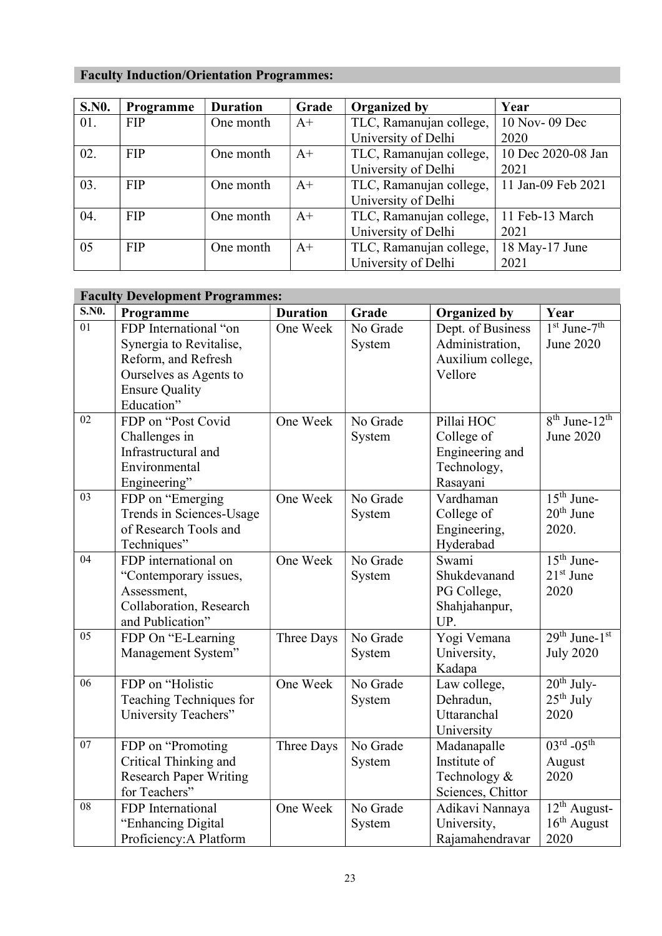# Faculty Induction/Orientation Programmes:

| <b>S.NO.</b> | Programme  | <b>Duration</b> | Grade | <b>Organized by</b>     | Year               |
|--------------|------------|-----------------|-------|-------------------------|--------------------|
| 01.          | <b>FIP</b> | One month       | $A+$  | TLC, Ramanujan college, | 10 Nov- 09 Dec     |
|              |            |                 |       | University of Delhi     | 2020               |
| 02.          | <b>FIP</b> | One month       | $A+$  | TLC, Ramanujan college, | 10 Dec 2020-08 Jan |
|              |            |                 |       | University of Delhi     | 2021               |
| 03.          | <b>FIP</b> | One month       | $A+$  | TLC, Ramanujan college, | 11 Jan-09 Feb 2021 |
|              |            |                 |       | University of Delhi     |                    |
| 04.          | <b>FIP</b> | One month       | $A+$  | TLC, Ramanujan college, | 11 Feb-13 March    |
|              |            |                 |       | University of Delhi     | 2021               |
| 05           | <b>FIP</b> | One month       | $A^+$ | TLC, Ramanujan college, | 18 May-17 June     |
|              |            |                 |       | University of Delhi     | 2021               |

|              | <b>Faculty Development Programmes:</b> |                 |          |                     |                                           |
|--------------|----------------------------------------|-----------------|----------|---------------------|-------------------------------------------|
| <b>S.NO.</b> | Programme                              | <b>Duration</b> | Grade    | <b>Organized by</b> | Year                                      |
| 01           | FDP International "on                  | One Week        | No Grade | Dept. of Business   | $1st$ June- $7th$                         |
|              | Synergia to Revitalise,                |                 | System   | Administration,     | June 2020                                 |
|              | Reform, and Refresh                    |                 |          | Auxilium college,   |                                           |
|              | Ourselves as Agents to                 |                 |          | Vellore             |                                           |
|              | <b>Ensure Quality</b>                  |                 |          |                     |                                           |
|              | Education"                             |                 |          |                     |                                           |
| 02           | FDP on "Post Covid                     | One Week        | No Grade | Pillai HOC          | $\overline{8^{th}}$ June-12 <sup>th</sup> |
|              | Challenges in                          |                 | System   | College of          | June 2020                                 |
|              | Infrastructural and                    |                 |          | Engineering and     |                                           |
|              | Environmental                          |                 |          | Technology,         |                                           |
|              | Engineering"                           |                 |          | Rasayani            |                                           |
| 03           | FDP on "Emerging                       | One Week        | No Grade | Vardhaman           | $15th$ June-                              |
|              | Trends in Sciences-Usage               |                 | System   | College of          | $20th$ June                               |
|              | of Research Tools and                  |                 |          | Engineering,        | 2020.                                     |
|              | Techniques"                            |                 |          | Hyderabad           |                                           |
| 04           | FDP international on                   | One Week        | No Grade | Swami               | $15th$ June-                              |
|              | "Contemporary issues,                  |                 | System   | Shukdevanand        | $21st$ June                               |
|              | Assessment,                            |                 |          | PG College,         | 2020                                      |
|              | Collaboration, Research                |                 |          | Shahjahanpur,       |                                           |
|              | and Publication"                       |                 |          | UP.                 |                                           |
| 05           | FDP On "E-Learning                     | Three Days      | No Grade | Yogi Vemana         | $29th$ June- $1st$                        |
|              | Management System"                     |                 | System   | University,         | <b>July 2020</b>                          |
|              |                                        |                 |          | Kadapa              |                                           |
| 06           | FDP on "Holistic                       | One Week        | No Grade | Law college,        | $20th$ July-                              |
|              | Teaching Techniques for                |                 | System   | Dehradun,           | $25th$ July                               |
|              | University Teachers"                   |                 |          | Uttaranchal         | 2020                                      |
|              |                                        |                 |          | University          |                                           |
| 07           | FDP on "Promoting                      | Three Days      | No Grade | Madanapalle         | $03^{rd} - 05^{th}$                       |
|              | Critical Thinking and                  |                 | System   | Institute of        | August                                    |
|              | <b>Research Paper Writing</b>          |                 |          | Technology &        | 2020                                      |
|              | for Teachers"                          |                 |          | Sciences, Chittor   |                                           |
| 08           | FDP International                      | One Week        | No Grade | Adikavi Nannaya     | $\overline{1}2^{\text{th}}$ August-       |
|              | "Enhancing Digital                     |                 | System   | University,         | $16th$ August                             |
|              | Proficiency: A Platform                |                 |          | Rajamahendravar     | 2020                                      |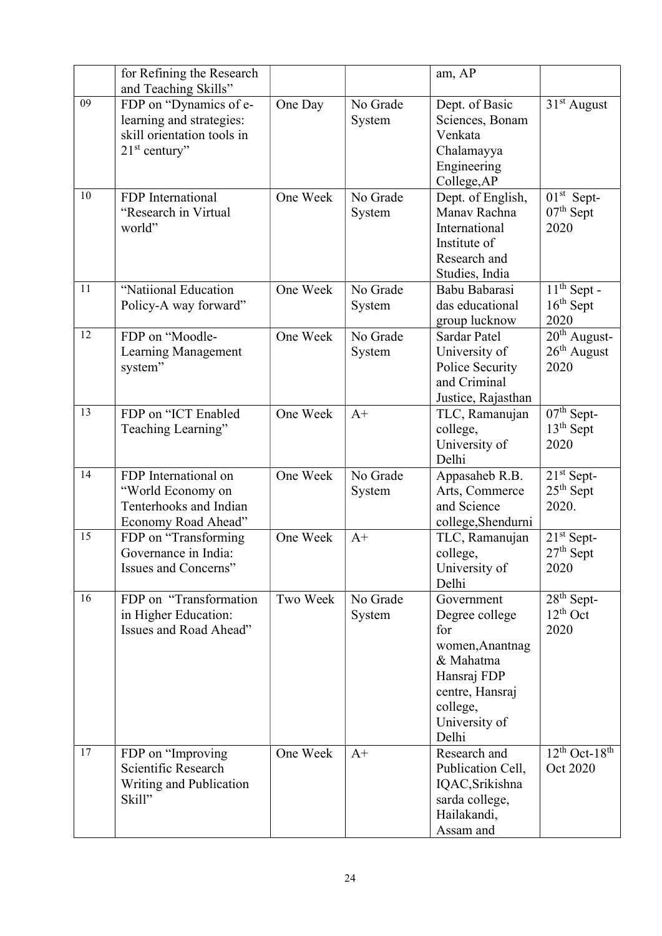|    | for Refining the Research<br>and Teaching Skills"                                                   |          |                    | am, AP                                                                                                                                      |                                                   |
|----|-----------------------------------------------------------------------------------------------------|----------|--------------------|---------------------------------------------------------------------------------------------------------------------------------------------|---------------------------------------------------|
| 09 | FDP on "Dynamics of e-<br>learning and strategies:<br>skill orientation tools in<br>$21st$ century" | One Day  | No Grade<br>System | Dept. of Basic<br>Sciences, Bonam<br>Venkata<br>Chalamayya<br>Engineering<br>College, AP                                                    | $31st$ August                                     |
| 10 | FDP International<br>"Research in Virtual<br>world"                                                 | One Week | No Grade<br>System | Dept. of English,<br>Manav Rachna<br>International<br>Institute of<br>Research and<br>Studies, India                                        | $01st$ Sept-<br>$07th$ Sept<br>2020               |
| 11 | "Natiional Education<br>Policy-A way forward"                                                       | One Week | No Grade<br>System | Babu Babarasi<br>das educational<br>group lucknow                                                                                           | $11th$ Sept -<br>$16th$ Sept<br>2020              |
| 12 | FDP on "Moodle-<br>Learning Management<br>system"                                                   | One Week | No Grade<br>System | <b>Sardar Patel</b><br>University of<br>Police Security<br>and Criminal<br>Justice, Rajasthan                                               | $20th$ August-<br>$26th$ August<br>2020           |
| 13 | FDP on "ICT Enabled<br>Teaching Learning"                                                           | One Week | $A+$               | TLC, Ramanujan<br>college,<br>University of<br>Delhi                                                                                        | $\overline{07^{th}}$ Sept-<br>$13th$ Sept<br>2020 |
| 14 | FDP International on<br>"World Economy on<br>Tenterhooks and Indian<br>Economy Road Ahead"          | One Week | No Grade<br>System | Appasaheb R.B.<br>Arts, Commerce<br>and Science<br>college, Shendurni                                                                       | $21st$ Sept-<br>$25th$ Sept<br>2020.              |
| 15 | FDP on "Transforming<br>Governance in India:<br>Issues and Concerns"                                | One Week | $A+$               | TLC, Ramanujan<br>college,<br>University of<br>Delhi                                                                                        | $21st$ Sept-<br>$27th$ Sept<br>2020               |
| 16 | FDP on "Transformation<br>in Higher Education:<br>Issues and Road Ahead"                            | Two Week | No Grade<br>System | Government<br>Degree college<br>for<br>women, Anantnag<br>& Mahatma<br>Hansraj FDP<br>centre, Hansraj<br>college,<br>University of<br>Delhi | $28th$ Sept-<br>$12th$ Oct<br>2020                |
| 17 | FDP on "Improving"<br>Scientific Research<br>Writing and Publication<br>Skill"                      | One Week | $A+$               | Research and<br>Publication Cell,<br>IQAC, Srikishna<br>sarda college,<br>Hailakandi,<br>Assam and                                          | $12th$ Oct-18 <sup>th</sup><br>Oct 2020           |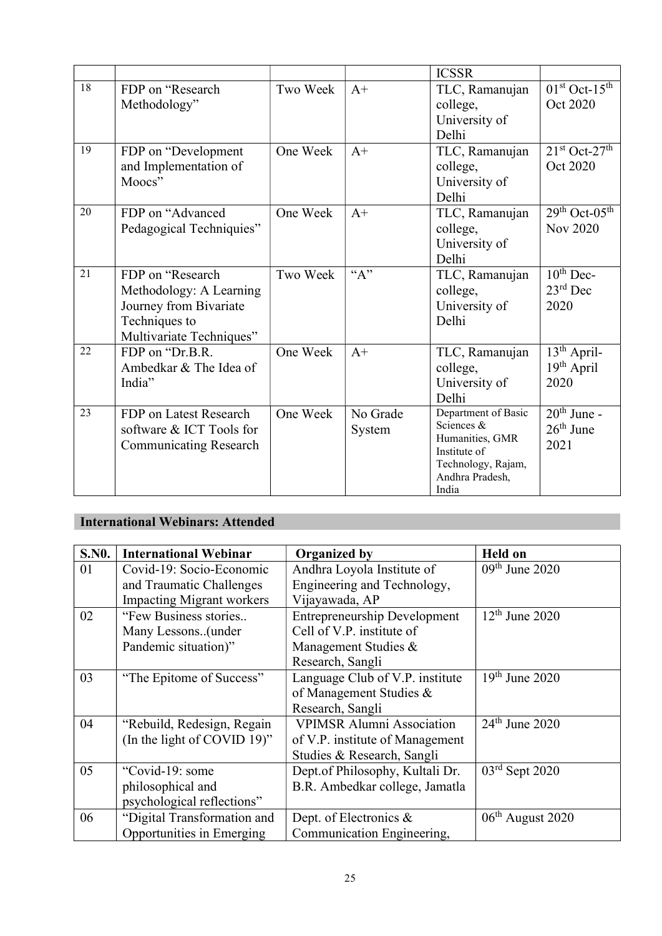|    |                                   |          |          | <b>ICSSR</b>                    |                                    |
|----|-----------------------------------|----------|----------|---------------------------------|------------------------------------|
| 18 | FDP on "Research"<br>Methodology" | Two Week | $A+$     | TLC, Ramanujan<br>college,      | $01st$ Oct- $15th$<br>Oct 2020     |
|    |                                   |          |          | University of<br>Delhi          |                                    |
| 19 | FDP on "Development"              | One Week | $A+$     | TLC, Ramanujan                  | $21st$ Oct- $27th$                 |
|    | and Implementation of             |          |          | college,                        | Oct 2020                           |
|    | Moocs"                            |          |          | University of                   |                                    |
| 20 | FDP on "Advanced                  | One Week | $A+$     | Delhi<br>TLC, Ramanujan         | $29th$ Oct-05 <sup>th</sup>        |
|    | Pedagogical Techniquies"          |          |          | college,                        | <b>Nov 2020</b>                    |
|    |                                   |          |          | University of                   |                                    |
|    |                                   |          |          | Delhi                           |                                    |
| 21 | FDP on "Research"                 | Two Week | ``A"     | TLC, Ramanujan                  | $\overline{10}$ <sup>th</sup> Dec- |
|    | Methodology: A Learning           |          |          | college,                        | $23rd$ Dec                         |
|    | Journey from Bivariate            |          |          | University of                   | 2020                               |
|    | Techniques to                     |          |          | Delhi                           |                                    |
|    | Multivariate Techniques"          |          |          |                                 |                                    |
| 22 | FDP on "Dr.B.R.                   | One Week | $A+$     | TLC, Ramanujan                  | 13 <sup>th</sup> April-            |
|    | Ambedkar & The Idea of<br>India"  |          |          | college,                        | $19th$ April<br>2020               |
|    |                                   |          |          | University of<br>Delhi          |                                    |
| 23 | FDP on Latest Research            | One Week | No Grade | Department of Basic             | $20th$ June -                      |
|    | software & ICT Tools for          |          | System   | Sciences &                      | $26th$ June                        |
|    | <b>Communicating Research</b>     |          |          | Humanities, GMR<br>Institute of | 2021                               |
|    |                                   |          |          | Technology, Rajam,              |                                    |
|    |                                   |          |          | Andhra Pradesh,                 |                                    |
|    |                                   |          |          | India                           |                                    |

# International Webinars: Attended

| <b>S.NO.</b> | <b>International Webinar</b>     | <b>Organized by</b>                 | <b>Held on</b>     |
|--------------|----------------------------------|-------------------------------------|--------------------|
| 01           | Covid-19: Socio-Economic         | Andhra Loyola Institute of          | $09th$ June 2020   |
|              | and Traumatic Challenges         | Engineering and Technology,         |                    |
|              | <b>Impacting Migrant workers</b> | Vijayawada, AP                      |                    |
| 02           | "Few Business stories            | <b>Entrepreneurship Development</b> | $12th$ June 2020   |
|              | Many Lessons(under               | Cell of V.P. institute of           |                    |
|              | Pandemic situation)"             | Management Studies &                |                    |
|              |                                  | Research, Sangli                    |                    |
| 03           | "The Epitome of Success"         | Language Club of V.P. institute     | $19th$ June 2020   |
|              |                                  | of Management Studies &             |                    |
|              |                                  | Research, Sangli                    |                    |
| 04           | "Rebuild, Redesign, Regain       | <b>VPIMSR Alumni Association</b>    | $24th$ June 2020   |
|              | (In the light of COVID 19)"      | of V.P. institute of Management     |                    |
|              |                                  | Studies & Research, Sangli          |                    |
| 05           | "Covid-19: some                  | Dept.of Philosophy, Kultali Dr.     | $03rd$ Sept 2020   |
|              | philosophical and                | B.R. Ambedkar college, Jamatla      |                    |
|              | psychological reflections"       |                                     |                    |
| 06           | "Digital Transformation and      | Dept. of Electronics &              | $06th$ August 2020 |
|              | Opportunities in Emerging        | Communication Engineering,          |                    |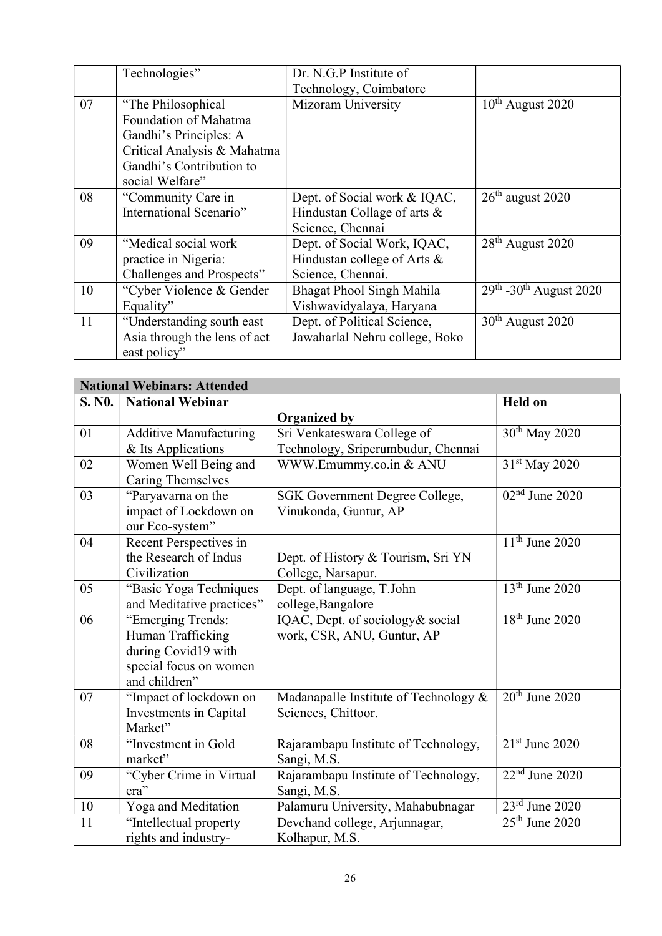|    | Technologies"                | Dr. N.G.P Institute of         |                                         |
|----|------------------------------|--------------------------------|-----------------------------------------|
|    |                              | Technology, Coimbatore         |                                         |
| 07 | "The Philosophical"          | Mizoram University             | $10^{th}$ August 2020                   |
|    | Foundation of Mahatma        |                                |                                         |
|    | Gandhi's Principles: A       |                                |                                         |
|    | Critical Analysis & Mahatma  |                                |                                         |
|    | Gandhi's Contribution to     |                                |                                         |
|    | social Welfare"              |                                |                                         |
| 08 | "Community Care in           | Dept. of Social work & IQAC,   | $26th$ august 2020                      |
|    | International Scenario"      | Hindustan Collage of arts &    |                                         |
|    |                              | Science, Chennai               |                                         |
| 09 | "Medical social work"        | Dept. of Social Work, IQAC,    | $28th$ August 2020                      |
|    | practice in Nigeria:         | Hindustan college of Arts &    |                                         |
|    | Challenges and Prospects"    | Science, Chennai.              |                                         |
| 10 | "Cyber Violence & Gender     | Bhagat Phool Singh Mahila      | $29^{th}$ -30 <sup>th</sup> August 2020 |
|    | Equality"                    | Vishwavidyalaya, Haryana       |                                         |
| 11 | "Understanding south east    | Dept. of Political Science,    | $30th$ August 2020                      |
|    | Asia through the lens of act | Jawaharlal Nehru college, Boko |                                         |
|    | east policy"                 |                                |                                         |

|        | <b>National Webinars: Attended</b> |                                       |                                |  |  |  |
|--------|------------------------------------|---------------------------------------|--------------------------------|--|--|--|
| S. NO. | <b>National Webinar</b>            |                                       | <b>Held on</b>                 |  |  |  |
|        |                                    | <b>Organized by</b>                   |                                |  |  |  |
| 01     | <b>Additive Manufacturing</b>      | Sri Venkateswara College of           | $30th$ May 2020                |  |  |  |
|        | & Its Applications                 | Technology, Sriperumbudur, Chennai    |                                |  |  |  |
| 02     | Women Well Being and               | WWW.Emummy.co.in & ANU                | 31 <sup>st</sup> May 2020      |  |  |  |
|        | <b>Caring Themselves</b>           |                                       |                                |  |  |  |
| 03     | "Paryavarna on the                 | SGK Government Degree College,        | $\overline{02^{nd}}$ June 2020 |  |  |  |
|        | impact of Lockdown on              | Vinukonda, Guntur, AP                 |                                |  |  |  |
|        | our Eco-system"                    |                                       |                                |  |  |  |
| 04     | Recent Perspectives in             |                                       | $11th$ June 2020               |  |  |  |
|        | the Research of Indus              | Dept. of History & Tourism, Sri YN    |                                |  |  |  |
|        | Civilization                       | College, Narsapur.                    |                                |  |  |  |
| 05     | "Basic Yoga Techniques             | Dept. of language, T.John             | 13 <sup>th</sup> June 2020     |  |  |  |
|        | and Meditative practices"          | college, Bangalore                    |                                |  |  |  |
| 06     | "Emerging Trends:                  | IQAC, Dept. of sociology& social      | $18th$ June 2020               |  |  |  |
|        | Human Trafficking                  | work, CSR, ANU, Guntur, AP            |                                |  |  |  |
|        | during Covid19 with                |                                       |                                |  |  |  |
|        | special focus on women             |                                       |                                |  |  |  |
|        | and children"                      |                                       |                                |  |  |  |
| 07     | "Impact of lockdown on             | Madanapalle Institute of Technology & | $20th$ June 2020               |  |  |  |
|        | Investments in Capital             | Sciences, Chittoor.                   |                                |  |  |  |
|        | Market"                            |                                       |                                |  |  |  |
| 08     | "Investment in Gold                | Rajarambapu Institute of Technology,  | $21st$ June 2020               |  |  |  |
|        | market"                            | Sangi, M.S.                           |                                |  |  |  |
| 09     | "Cyber Crime in Virtual            | Rajarambapu Institute of Technology,  | $22nd$ June 2020               |  |  |  |
|        | era"                               | Sangi, M.S.                           |                                |  |  |  |
| 10     | Yoga and Meditation                | Palamuru University, Mahabubnagar     | $23rd$ June 2020               |  |  |  |
| 11     | "Intellectual property             | Devchand college, Arjunnagar,         | $25th$ June 2020               |  |  |  |
|        | rights and industry-               | Kolhapur, M.S.                        |                                |  |  |  |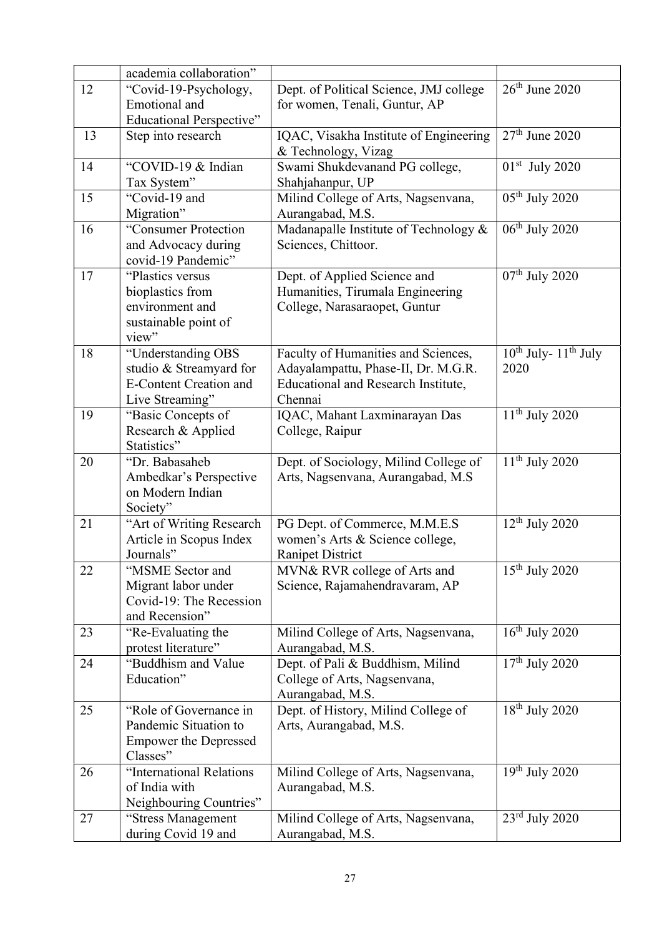|    | academia collaboration"                                                                           |                                                                                                                                     |                                        |
|----|---------------------------------------------------------------------------------------------------|-------------------------------------------------------------------------------------------------------------------------------------|----------------------------------------|
| 12 | "Covid-19-Psychology,                                                                             | Dept. of Political Science, JMJ college                                                                                             | $26th$ June 2020                       |
|    | Emotional and                                                                                     | for women, Tenali, Guntur, AP                                                                                                       |                                        |
|    | <b>Educational Perspective"</b>                                                                   |                                                                                                                                     |                                        |
| 13 | Step into research                                                                                | IQAC, Visakha Institute of Engineering<br>& Technology, Vizag                                                                       | $27th$ June 2020                       |
| 14 | "COVID-19 & Indian<br>Tax System"                                                                 | Swami Shukdevanand PG college,<br>Shahjahanpur, UP                                                                                  | $01st$ July 2020                       |
| 15 | "Covid-19 and<br>Migration"                                                                       | Milind College of Arts, Nagsenvana,<br>Aurangabad, M.S.                                                                             | 05 <sup>th</sup> July 2020             |
| 16 | "Consumer Protection<br>and Advocacy during<br>covid-19 Pandemic"                                 | Madanapalle Institute of Technology &<br>Sciences, Chittoor.                                                                        | $06th$ July 2020                       |
| 17 | "Plastics versus<br>bioplastics from<br>environment and<br>sustainable point of<br>view"          | Dept. of Applied Science and<br>Humanities, Tirumala Engineering<br>College, Narasaraopet, Guntur                                   | $07th$ July 2020                       |
| 18 | "Understanding OBS<br>studio & Streamyard for<br><b>E-Content Creation and</b><br>Live Streaming" | Faculty of Humanities and Sciences,<br>Adayalampattu, Phase-II, Dr. M.G.R.<br><b>Educational and Research Institute,</b><br>Chennai | $10^{th}$ July- $11^{th}$ July<br>2020 |
| 19 | "Basic Concepts of<br>Research & Applied<br>Statistics"                                           | IQAC, Mahant Laxminarayan Das<br>College, Raipur                                                                                    | $11th$ July 2020                       |
| 20 | "Dr. Babasaheb<br>Ambedkar's Perspective<br>on Modern Indian<br>Society"                          | Dept. of Sociology, Milind College of<br>Arts, Nagsenvana, Aurangabad, M.S.                                                         | $11th$ July 2020                       |
| 21 | "Art of Writing Research<br>Article in Scopus Index<br>Journals"                                  | PG Dept. of Commerce, M.M.E.S<br>women's Arts & Science college,<br><b>Ranipet District</b>                                         | $12th$ July 2020                       |
| 22 | "MSME Sector and<br>Migrant labor under<br>Covid-19: The Recession<br>and Recension"              | MVN& RVR college of Arts and<br>Science, Rajamahendravaram, AP                                                                      | $15th$ July 2020                       |
| 23 | "Re-Evaluating the<br>protest literature"                                                         | Milind College of Arts, Nagsenvana,<br>Aurangabad, M.S.                                                                             | $16th$ July 2020                       |
| 24 | "Buddhism and Value<br>Education"                                                                 | Dept. of Pali & Buddhism, Milind<br>College of Arts, Nagsenvana,<br>Aurangabad, M.S.                                                | $17th$ July 2020                       |
| 25 | "Role of Governance in<br>Pandemic Situation to<br><b>Empower the Depressed</b><br>Classes"       | Dept. of History, Milind College of<br>Arts, Aurangabad, M.S.                                                                       | $18th$ July 2020                       |
| 26 | "International Relations<br>of India with<br>Neighbouring Countries"                              | Milind College of Arts, Nagsenvana,<br>Aurangabad, M.S.                                                                             | $19th$ July 2020                       |
| 27 | "Stress Management<br>during Covid 19 and                                                         | Milind College of Arts, Nagsenvana,<br>Aurangabad, M.S.                                                                             | $23rd$ July 2020                       |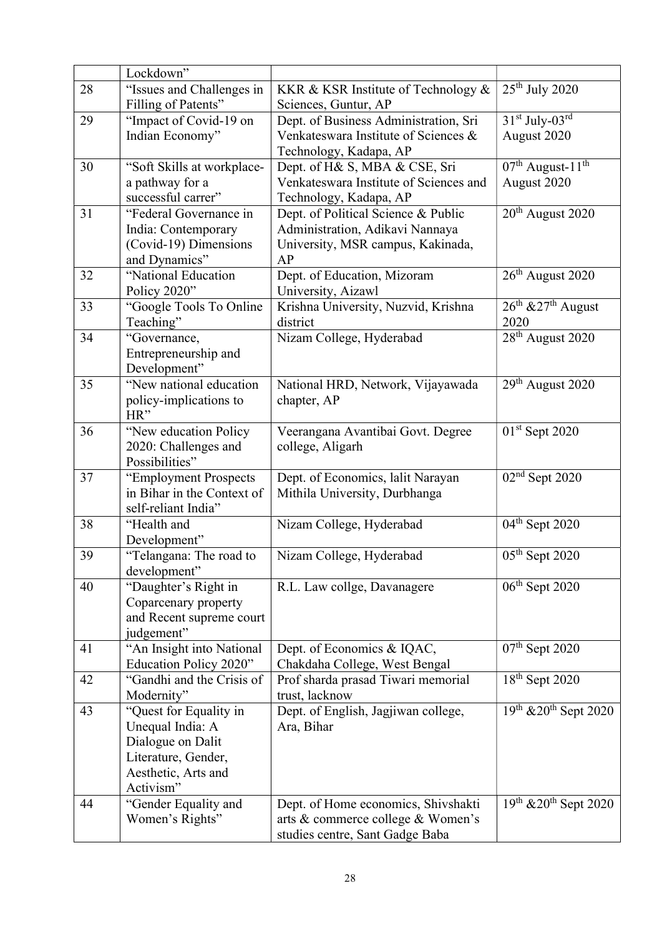|    | Lockdown"                  |                                        |                                            |
|----|----------------------------|----------------------------------------|--------------------------------------------|
| 28 | "Issues and Challenges in  | KKR & KSR Institute of Technology &    | $25th$ July 2020                           |
|    | Filling of Patents"        | Sciences, Guntur, AP                   |                                            |
| 29 | "Impact of Covid-19 on     | Dept. of Business Administration, Sri  | $31st$ July-03 <sup>rd</sup>               |
|    | Indian Economy"            | Venkateswara Institute of Sciences &   | August 2020                                |
|    |                            | Technology, Kadapa, AP                 |                                            |
| 30 | "Soft Skills at workplace- | Dept. of H& S, MBA & CSE, Sri          | $07th$ August-11 <sup>th</sup>             |
|    | a pathway for a            | Venkateswara Institute of Sciences and | August 2020                                |
|    | successful carrer"         | Technology, Kadapa, AP                 |                                            |
| 31 | "Federal Governance in     | Dept. of Political Science & Public    | $20th$ August 2020                         |
|    | India: Contemporary        | Administration, Adikavi Nannaya        |                                            |
|    | (Covid-19) Dimensions      | University, MSR campus, Kakinada,      |                                            |
|    | and Dynamics"              | AP                                     |                                            |
| 32 | "National Education        | Dept. of Education, Mizoram            | 26 <sup>th</sup> August 2020               |
|    | Policy 2020"               | University, Aizawl                     |                                            |
| 33 | "Google Tools To Online    | Krishna University, Nuzvid, Krishna    | $26^{\text{th}}$ & $27^{\text{th}}$ August |
|    | Teaching"                  | district                               | 2020                                       |
| 34 | "Governance,               | Nizam College, Hyderabad               | $28th$ August 2020                         |
|    | Entrepreneurship and       |                                        |                                            |
|    | Development"               |                                        |                                            |
| 35 | "New national education    | National HRD, Network, Vijayawada      | 29 <sup>th</sup> August 2020               |
|    | policy-implications to     | chapter, AP                            |                                            |
|    | HR"                        |                                        |                                            |
| 36 | "New education Policy      | Veerangana Avantibai Govt. Degree      | $01st$ Sept 2020                           |
|    | 2020: Challenges and       | college, Aligarh                       |                                            |
|    | Possibilities"             |                                        |                                            |
| 37 | "Employment Prospects      | Dept. of Economics, lalit Narayan      | $02nd$ Sept 2020                           |
|    | in Bihar in the Context of | Mithila University, Durbhanga          |                                            |
|    | self-reliant India"        |                                        |                                            |
| 38 | "Health and                | Nizam College, Hyderabad               | 04 <sup>th</sup> Sept 2020                 |
|    | Development"               |                                        |                                            |
| 39 | "Telangana: The road to    | Nizam College, Hyderabad               | $05th$ Sept 2020                           |
|    | development"               |                                        |                                            |
| 40 | "Daughter's Right in       | R.L. Law collge, Davanagere            | $06th$ Sept 2020                           |
|    | Coparcenary property       |                                        |                                            |
|    | and Recent supreme court   |                                        |                                            |
|    | judgement"                 |                                        |                                            |
| 41 | "An Insight into National  | Dept. of Economics & IQAC,             | $07th$ Sept 2020                           |
|    | Education Policy 2020"     | Chakdaha College, West Bengal          |                                            |
| 42 | "Gandhi and the Crisis of  | Prof sharda prasad Tiwari memorial     | $18th$ Sept 2020                           |
|    | Modernity"                 | trust, lacknow                         |                                            |
| 43 | "Quest for Equality in     | Dept. of English, Jagjiwan college,    | $19th$ & $20th$ Sept 2020                  |
|    | Unequal India: A           | Ara, Bihar                             |                                            |
|    | Dialogue on Dalit          |                                        |                                            |
|    | Literature, Gender,        |                                        |                                            |
|    | Aesthetic, Arts and        |                                        |                                            |
|    | Activism"                  |                                        |                                            |
| 44 | "Gender Equality and       | Dept. of Home economics, Shivshakti    | $\overline{19^{th}}$ & $20^{th}$ Sept 2020 |
|    | Women's Rights"            | arts & commerce college & Women's      |                                            |
|    |                            | studies centre, Sant Gadge Baba        |                                            |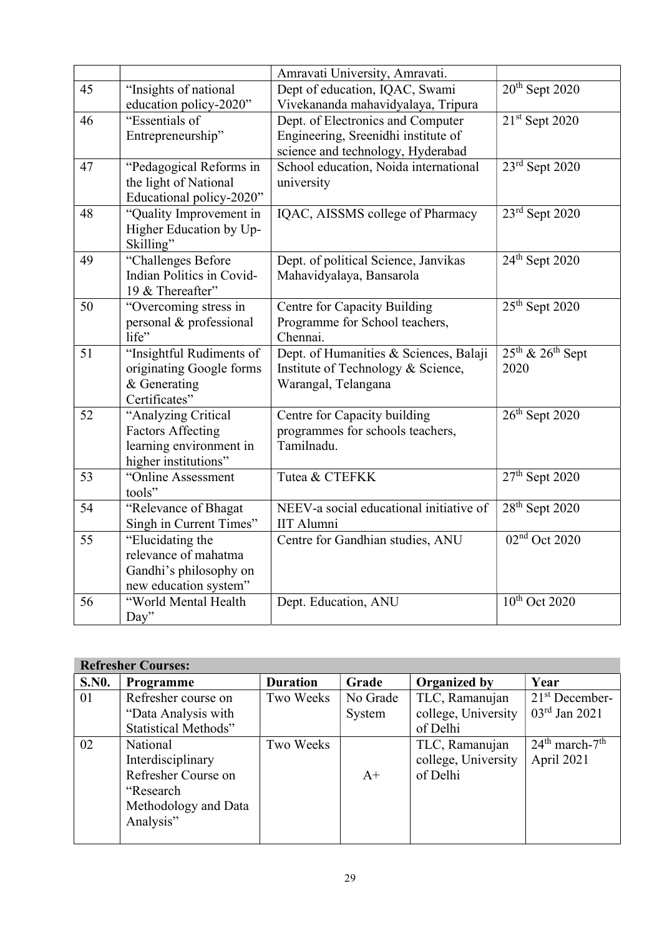|    |                                                     | Amravati University, Amravati.                 |                                        |
|----|-----------------------------------------------------|------------------------------------------------|----------------------------------------|
| 45 | "Insights of national                               | Dept of education, IQAC, Swami                 | $20th$ Sept 2020                       |
|    | education policy-2020"                              | Vivekananda mahavidyalaya, Tripura             |                                        |
| 46 | "Essentials of                                      | Dept. of Electronics and Computer              | $21st$ Sept 2020                       |
|    | Entrepreneurship"                                   | Engineering, Sreenidhi institute of            |                                        |
|    |                                                     | science and technology, Hyderabad              |                                        |
| 47 | "Pedagogical Reforms in                             | School education, Noida international          | 23rd Sept 2020                         |
|    | the light of National                               | university                                     |                                        |
|    | Educational policy-2020"                            |                                                |                                        |
| 48 | "Quality Improvement in                             | IQAC, AISSMS college of Pharmacy               | $23rd$ Sept 2020                       |
|    | Higher Education by Up-                             |                                                |                                        |
|    | Skilling"                                           |                                                |                                        |
| 49 | "Challenges Before                                  | Dept. of political Science, Janvikas           | $24th$ Sept 2020                       |
|    | Indian Politics in Covid-                           | Mahavidyalaya, Bansarola                       |                                        |
|    | 19 & Thereafter"                                    |                                                |                                        |
| 50 | "Overcoming stress in                               | Centre for Capacity Building                   | $25th$ Sept 2020                       |
|    | personal & professional                             | Programme for School teachers,                 |                                        |
|    | life"                                               | Chennai.                                       |                                        |
| 51 | "Insightful Rudiments of                            | Dept. of Humanities & Sciences, Balaji         | $25^{th}$ & $26^{th}$ Sept             |
|    | originating Google forms                            | Institute of Technology & Science,             | 2020                                   |
|    | & Generating                                        | Warangal, Telangana                            |                                        |
| 52 | Certificates"                                       |                                                | $26th$ Sept 2020                       |
|    | "Analyzing Critical                                 | Centre for Capacity building                   |                                        |
|    | <b>Factors Affecting</b><br>learning environment in | programmes for schools teachers,<br>Tamilnadu. |                                        |
|    | higher institutions"                                |                                                |                                        |
| 53 | "Online Assessment                                  | Tutea & CTEFKK                                 | $27th$ Sept 2020                       |
|    | tools"                                              |                                                |                                        |
| 54 | "Relevance of Bhagat                                | NEEV-a social educational initiative of        | $28th$ Sept 2020                       |
|    | Singh in Current Times"                             | <b>IIT Alumni</b>                              |                                        |
| 55 | "Elucidating the                                    | Centre for Gandhian studies, ANU               | 02 <sup>nd</sup> Oct 2020              |
|    | relevance of mahatma                                |                                                |                                        |
|    | Gandhi's philosophy on                              |                                                |                                        |
|    | new education system"                               |                                                |                                        |
| 56 | "World Mental Health                                | Dept. Education, ANU                           | $\overline{10}$ <sup>th</sup> Oct 2020 |
|    | Day"                                                |                                                |                                        |

| <b>Refresher Courses:</b> |                             |                 |          |                     |                     |  |  |  |
|---------------------------|-----------------------------|-----------------|----------|---------------------|---------------------|--|--|--|
| <b>S.NO.</b>              | <b>Programme</b>            | <b>Duration</b> | Grade    | <b>Organized by</b> | Year                |  |  |  |
| 01                        | Refresher course on         | Two Weeks       | No Grade | TLC, Ramanujan      | $21st$ December-    |  |  |  |
|                           | "Data Analysis with         |                 | System   | college, University | $03rd$ Jan 2021     |  |  |  |
|                           | <b>Statistical Methods"</b> |                 |          | of Delhi            |                     |  |  |  |
| 02                        | National                    | Two Weeks       |          | TLC, Ramanujan      | $24th$ march- $7th$ |  |  |  |
|                           | Interdisciplinary           |                 |          | college, University | April 2021          |  |  |  |
|                           | Refresher Course on         |                 | $A+$     | of Delhi            |                     |  |  |  |
|                           | "Research"                  |                 |          |                     |                     |  |  |  |
|                           | Methodology and Data        |                 |          |                     |                     |  |  |  |
|                           | Analysis"                   |                 |          |                     |                     |  |  |  |
|                           |                             |                 |          |                     |                     |  |  |  |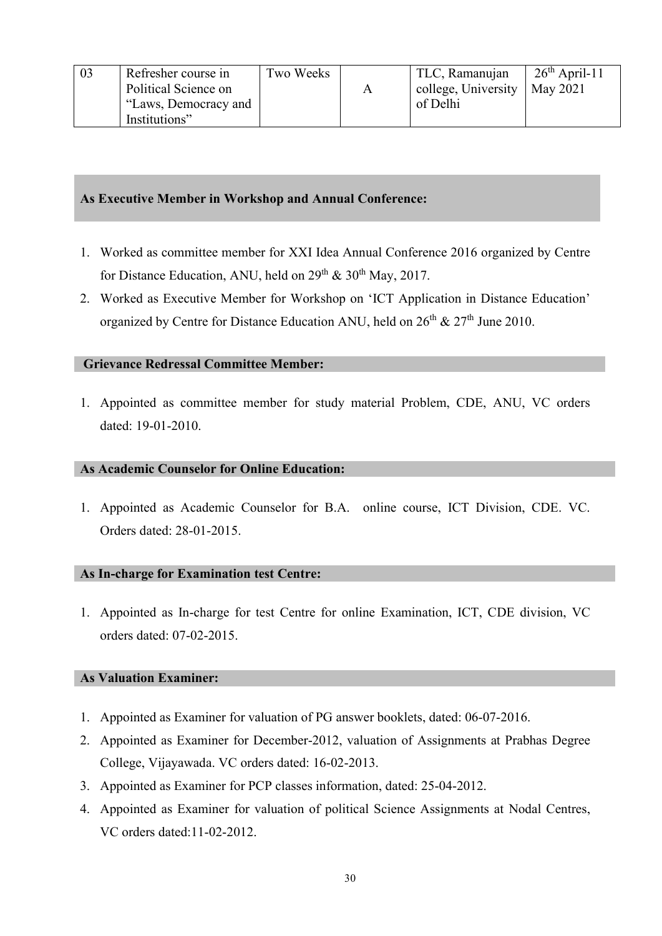# As Executive Member in Workshop and Annual Conference:

- 1. Worked as committee member for XXI Idea Annual Conference 2016 organized by Centre for Distance Education, ANU, held on  $29<sup>th</sup>$  &  $30<sup>th</sup>$  May, 2017.
- 2. Worked as Executive Member for Workshop on 'ICT Application in Distance Education' organized by Centre for Distance Education ANU, held on 26<sup>th</sup> & 27<sup>th</sup> June 2010.

## Grievance Redressal Committee Member:

1. Appointed as committee member for study material Problem, CDE, ANU, VC orders dated: 19-01-2010.

## As Academic Counselor for Online Education:

1. Appointed as Academic Counselor for B.A. online course, ICT Division, CDE. VC. Orders dated: 28-01-2015.

## As In-charge for Examination test Centre:

1. Appointed as In-charge for test Centre for online Examination, ICT, CDE division, VC orders dated: 07-02-2015.

## As Valuation Examiner:

- 1. Appointed as Examiner for valuation of PG answer booklets, dated: 06-07-2016.
- 2. Appointed as Examiner for December-2012, valuation of Assignments at Prabhas Degree College, Vijayawada. VC orders dated: 16-02-2013.
- 3. Appointed as Examiner for PCP classes information, dated: 25-04-2012.
- 4. Appointed as Examiner for valuation of political Science Assignments at Nodal Centres, VC orders dated:11-02-2012.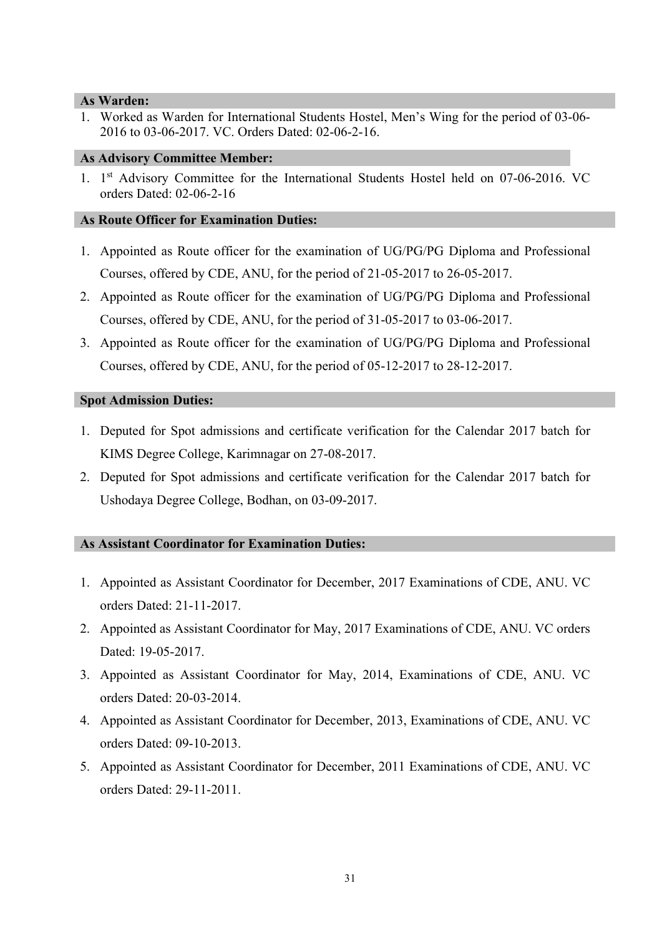### As Warden:

1. Worked as Warden for International Students Hostel, Men's Wing for the period of 03-06- 2016 to 03-06-2017. VC. Orders Dated: 02-06-2-16.

### As Advisory Committee Member:

1. 1<sup>st</sup> Advisory Committee for the International Students Hostel held on 07-06-2016. VC orders Dated: 02-06-2-16

### As Route Officer for Examination Duties:

- 1. Appointed as Route officer for the examination of UG/PG/PG Diploma and Professional Courses, offered by CDE, ANU, for the period of 21-05-2017 to 26-05-2017.
- 2. Appointed as Route officer for the examination of UG/PG/PG Diploma and Professional Courses, offered by CDE, ANU, for the period of 31-05-2017 to 03-06-2017.
- 3. Appointed as Route officer for the examination of UG/PG/PG Diploma and Professional Courses, offered by CDE, ANU, for the period of 05-12-2017 to 28-12-2017.

### Spot Admission Duties:

- 1. Deputed for Spot admissions and certificate verification for the Calendar 2017 batch for KIMS Degree College, Karimnagar on 27-08-2017.
- 2. Deputed for Spot admissions and certificate verification for the Calendar 2017 batch for Ushodaya Degree College, Bodhan, on 03-09-2017.

## As Assistant Coordinator for Examination Duties:

- 1. Appointed as Assistant Coordinator for December, 2017 Examinations of CDE, ANU. VC orders Dated: 21-11-2017.
- 2. Appointed as Assistant Coordinator for May, 2017 Examinations of CDE, ANU. VC orders Dated: 19-05-2017.
- 3. Appointed as Assistant Coordinator for May, 2014, Examinations of CDE, ANU. VC orders Dated: 20-03-2014.
- 4. Appointed as Assistant Coordinator for December, 2013, Examinations of CDE, ANU. VC orders Dated: 09-10-2013.
- 5. Appointed as Assistant Coordinator for December, 2011 Examinations of CDE, ANU. VC orders Dated: 29-11-2011.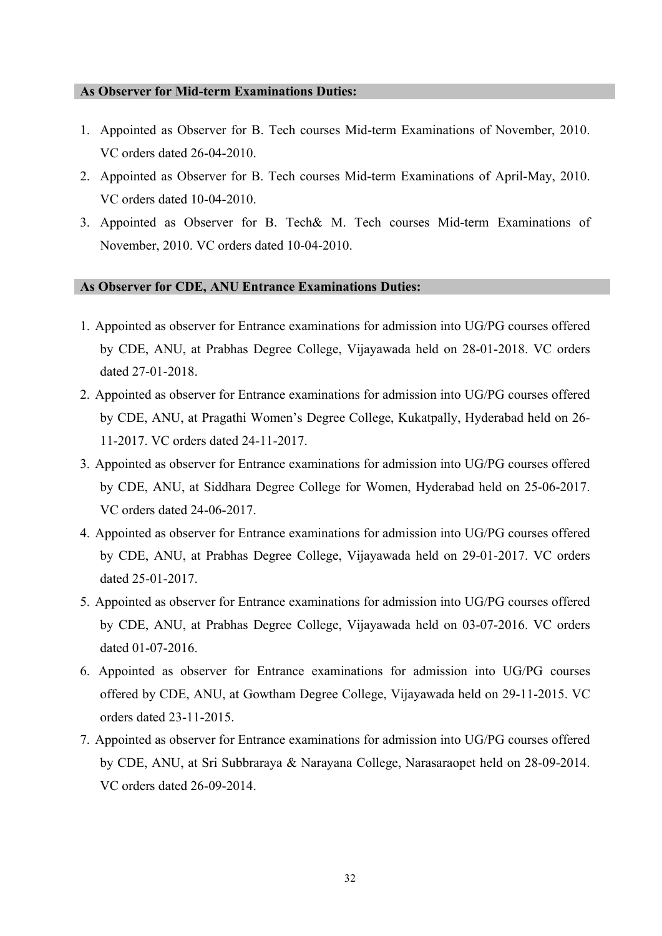### As Observer for Mid-term Examinations Duties:

- 1. Appointed as Observer for B. Tech courses Mid-term Examinations of November, 2010. VC orders dated 26-04-2010.
- 2. Appointed as Observer for B. Tech courses Mid-term Examinations of April-May, 2010. VC orders dated 10-04-2010.
- 3. Appointed as Observer for B. Tech& M. Tech courses Mid-term Examinations of November, 2010. VC orders dated 10-04-2010.

### As Observer for CDE, ANU Entrance Examinations Duties:

- 1. Appointed as observer for Entrance examinations for admission into UG/PG courses offered by CDE, ANU, at Prabhas Degree College, Vijayawada held on 28-01-2018. VC orders dated 27-01-2018.
- 2. Appointed as observer for Entrance examinations for admission into UG/PG courses offered by CDE, ANU, at Pragathi Women's Degree College, Kukatpally, Hyderabad held on 26- 11-2017. VC orders dated 24-11-2017.
- 3. Appointed as observer for Entrance examinations for admission into UG/PG courses offered by CDE, ANU, at Siddhara Degree College for Women, Hyderabad held on 25-06-2017. VC orders dated 24-06-2017.
- 4. Appointed as observer for Entrance examinations for admission into UG/PG courses offered by CDE, ANU, at Prabhas Degree College, Vijayawada held on 29-01-2017. VC orders dated 25-01-2017.
- 5. Appointed as observer for Entrance examinations for admission into UG/PG courses offered by CDE, ANU, at Prabhas Degree College, Vijayawada held on 03-07-2016. VC orders dated 01-07-2016.
- 6. Appointed as observer for Entrance examinations for admission into UG/PG courses offered by CDE, ANU, at Gowtham Degree College, Vijayawada held on 29-11-2015. VC orders dated 23-11-2015.
- 7. Appointed as observer for Entrance examinations for admission into UG/PG courses offered by CDE, ANU, at Sri Subbraraya & Narayana College, Narasaraopet held on 28-09-2014. VC orders dated 26-09-2014.